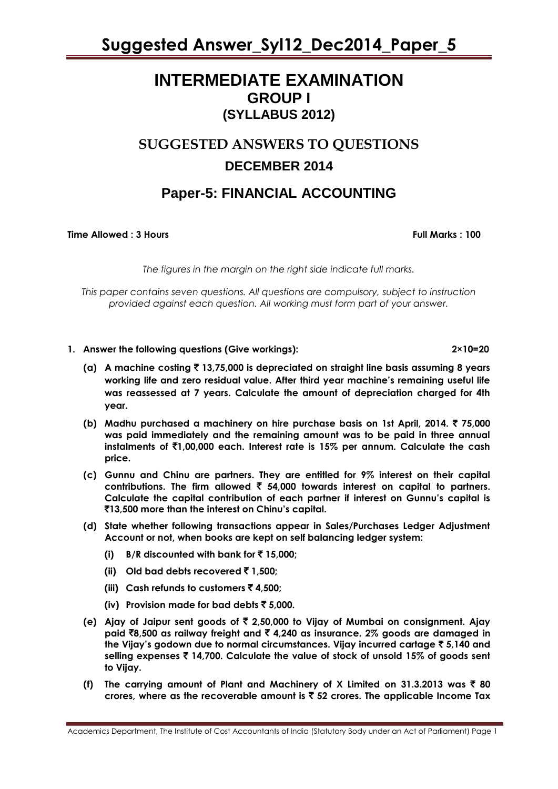### **INTERMEDIATE EXAMINATION GROUP I (SYLLABUS 2012)**

### **SUGGESTED ANSWERS TO QUESTIONS DECEMBER 2014**

### **Paper-5: FINANCIAL ACCOUNTING**

**Time Allowed : 3 Hours Full Marks Full Marks : 100** 

*The figures in the margin on the right side indicate full marks.*

*This paper contains seven questions. All questions are compulsory, subject to instruction provided against each question. All working must form part of your answer.*

**1. Answer the following questions (Give workings): 2×10=20**

- **(a) A machine costing** ` **13,75,000 is depreciated on straight line basis assuming 8 years working life and zero residual value. After third year machine's remaining useful life was reassessed at 7 years. Calculate the amount of depreciation charged for 4th year.**
- **(b) Madhu purchased a machinery on hire purchase basis on 1st April, 2014.** ` **75,000 was paid immediately and the remaining amount was to be paid in three annual instalments of** `**1,00,000 each. Interest rate is 15% per annum. Calculate the cash price.**
- **(c) Gunnu and Chinu are partners. They are entitled for 9% interest on their capital contributions. The firm allowed** ` **54,000 towards interest on capital to partners. Calculate the capital contribution of each partner if interest on Gunnu's capital is**  `**13,500 more than the interest on Chinu's capital.**
- **(d) State whether following transactions appear in Sales/Purchases Ledger Adjustment Account or not, when books are kept on self balancing ledger system:**
	- **(i) B/R** discounted with bank for  $\bar{x}$  15,000;
	- **(ii) Old bad debts recovered** ` **1,500;**
	- **(iii) Cash refunds to customers** ` **4,500;**
	- **(iv) Provision made for bad debts** ` **5,000.**
- **(e) Ajay of Jaipur sent goods of** ` **2,50,000 to Vijay of Mumbai on consignment. Ajay paid** `**8,500 as railway freight and** ` **4,240 as insurance. 2% goods are damaged in the Vijay's godown due to normal circumstances. Vijay incurred cartage** ` **5,140 and selling expenses** ` **14,700. Calculate the value of stock of unsold 15% of goods sent to Vijay.**
- **(f)** The carrying amount of Plant and Machinery of X Limited on 31.3.2013 was  $\bar{\tau}$  80 **crores, where as the recoverable amount is** ` **52 crores. The applicable Income Tax**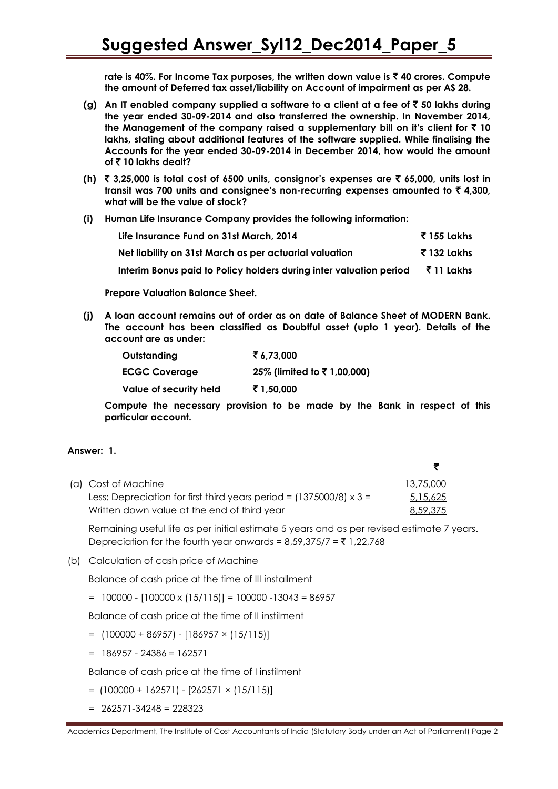**rate is 40%. For Income Tax purposes, the written down value is** ` **40 crores. Compute the amount of Deferred tax asset/liability on Account of impairment as per AS 28.**

- **(g) An IT enabled company supplied a software to a client at a fee of** ` **50 lakhs during the year ended 30-09-2014 and also transferred the ownership. In November 2014,**  the Management of the company raised a supplementary bill on it's client for  $\bar{z}$  10 **lakhs, stating about additional features of the software supplied. While finalising the Accounts for the year ended 30-09-2014 in December 2014, how would the amount of ₹10 lakhs dealt?**
- **(h)** ` **3,25,000 is total cost of 6500 units, consignor's expenses are** ` **65,000, units lost in transit was 700 units and consignee's non-recurring expenses amounted to** ` **4,300, what will be the value of stock?**
- **(i) Human Life Insurance Company provides the following information:**

| Life Insurance Fund on 31st March, 2014                            | र 155 Lakhs   |
|--------------------------------------------------------------------|---------------|
| Net liability on 31st March as per actuarial valuation             | रैं 132 Lakhs |
| Interim Bonus paid to Policy holders during inter valuation period | रैं 11 Lakhs  |

**Prepare Valuation Balance Sheet.**

**(j) A loan account remains out of order as on date of Balance Sheet of MODERN Bank. The account has been classified as Doubtful asset (upto 1 year). Details of the account are as under:**

| Outstanding            | ₹6.73.000                  |
|------------------------|----------------------------|
| <b>ECGC Coverage</b>   | 25% (limited to ₹1,00,000) |
| Value of security held | ₹ 1,50,000                 |

**Compute the necessary provision to be made by the Bank in respect of this particular account.**

### **Answer: 1.**

| (a) Cost of Machine                                                        | 13.75.000 |
|----------------------------------------------------------------------------|-----------|
| Less: Depreciation for first third years period = $(1375000/8) \times 3 =$ | 5,15,625  |
| Written down value at the end of third year                                | 8,59,375  |

Remaining useful life as per initial estimate 5 years and as per revised estimate 7 years. Depreciation for the fourth year onwards =  $8.59.375/7 = \frac{3}{5}1.22.768$ 

(b) Calculation of cash price of Machine

Balance of cash price at the time of III installment

 $= 100000 - [100000 \times (15/115)] = 100000 - 13043 = 86957$ 

Balance of cash price at the time of II instilment

- $=$  (100000 + 86957) [186957 × (15/115)]
- $= 186957 24386 = 162571$

Balance of cash price at the time of I instilment

- $=$  (100000 + 162571) [262571 × (15/115)]
- $= 262571 34248 = 228323$

Academics Department, The Institute of Cost Accountants of India (Statutory Body under an Act of Parliament) Page 2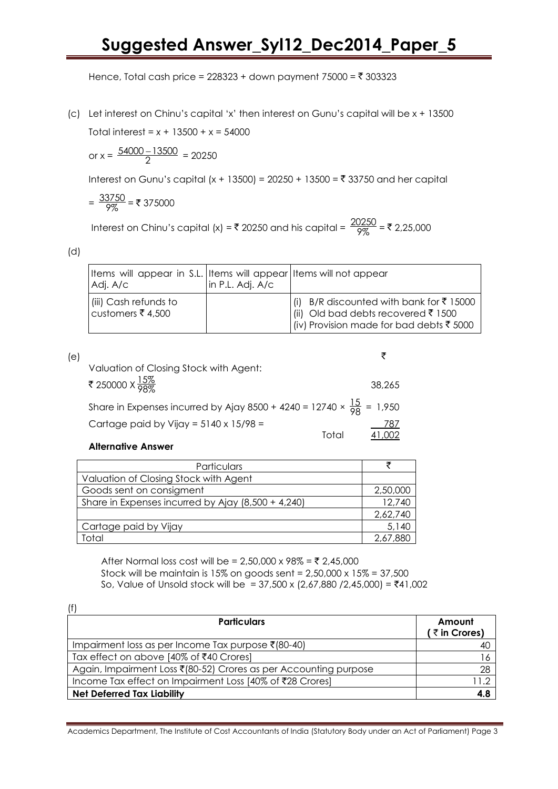Hence, Total cash price =  $228323 +$  down payment 75000 =  $\bar{x}$  303323

(c) Let interest on Chinu's capital 'x' then interest on Gunu's capital will be x + 13500 Total interest = *x* + 13500 + x = 54000

or x =  $\frac{54000 - 13500}{2}$ 2  $\frac{-13500}{2}$  = 20250

Interest on Gunu's capital (x + 13500) = 20250 + 13500 = ₹ 33750 and her capital

$$
=\frac{33750}{9\%} = ₹ 375000
$$

Interest on Chinu's capital (x) = ₹ 20250 and his capital =  $\frac{20250}{997}$  $\frac{9250}{9\%}$  = ₹ 2,25,000

(d)

 $\ddot{\phantom{a}}$ 

| Items will appear in S.L. Items will appear Items will not appear<br>Adj. A/c | in P.L. Adj. A/c |                                                                                                                                              |
|-------------------------------------------------------------------------------|------------------|----------------------------------------------------------------------------------------------------------------------------------------------|
| (iii) Cash refunds to<br>customers ₹ 4,500                                    |                  | (i) B/R discounted with bank for $\bar{\xi}$ 15000<br>(ii) Old bad debts recovered ₹1500<br>$\vert$ (iv) Provision made for bad debts ₹ 5000 |

| (e) |                                                                                       |        |
|-----|---------------------------------------------------------------------------------------|--------|
|     | Valuation of Closing Stock with Agent:                                                |        |
|     | ₹ 250000 X <mark><math>\frac{15\%}{98\%}</math></mark>                                | 38.265 |
|     | Share in Expenses incurred by Ajay 8500 + 4240 = 12740 $\times \frac{15}{98}$ = 1,950 |        |
|     | Cartage paid by Vijay = $5140 \times 15/98 =$                                         | 787    |
|     |                                                                                       |        |

### **Alternative Answer**

| Particulars                                        |          |
|----------------------------------------------------|----------|
| Valuation of Closing Stock with Agent              |          |
| Goods sent on consigment                           | 2,50,000 |
| Share in Expenses incurred by Ajay (8,500 + 4,240) | 12,740   |
|                                                    | 2,62,740 |
| Cartage paid by Vijay                              | 5,140    |
| Total                                              | 2,67,880 |

After Normal loss cost will be =  $2,50,000 \times 98\% = \text{\textless} 2,45,000$ Stock will be maintain is 15% on goods sent = 2,50,000 x 15% = 37,500 So, Value of Unsold stock will be = 37,500 x (2,67,880 / 2,45,000) = ₹41,002

| (t)                                                                    |              |
|------------------------------------------------------------------------|--------------|
| <b>Particulars</b>                                                     | Amount       |
|                                                                        | (₹in Crores) |
| Impairment loss as per Income Tax purpose $\bar{\mathfrak{c}}$ (80-40) | 40           |
| Tax effect on above [40% of ₹40 Crores]                                | 16           |
| Again, Impairment Loss ₹(80-52) Crores as per Accounting purpose       | 28           |
| Income Tax effect on Impairment Loss [40% of ₹28 Crores]               | 11.2         |
| <b>Net Deferred Tax Liability</b>                                      | 4.8          |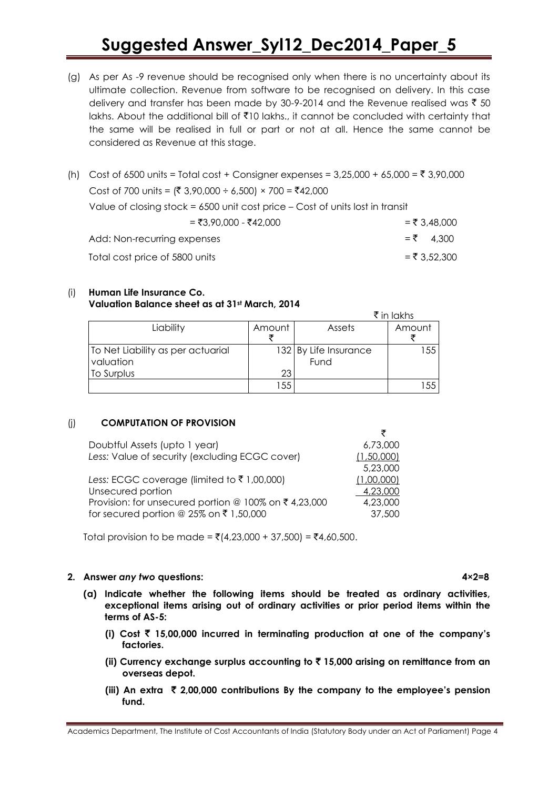- (g) As per As -9 revenue should be recognised only when there is no uncertainty about its ultimate collection. Revenue from software to be recognised on delivery. In this case delivery and transfer has been made by 30-9-2014 and the Revenue realised was  $\bar{z}$  50 lakhs. About the additional bill of `10 lakhs., it cannot be concluded with certainty that the same will be realised in full or part or not at all. Hence the same cannot be considered as Revenue at this stage.
- (h) Cost of 6500 units = Total cost + Consigner expenses =  $3,25,000 + 65,000 = ₹ 3,90,000$ Cost of 700 units = (₹ 3,90,000 ÷ 6,500) × 700 = ₹42,000 Value of closing stock = 6500 unit cost price – Cost of units lost in transit  $=$   $\overline{5}3.90.000 - \overline{5}42.000$   $=$   $\overline{5}3.48.000$ Add: Non-recurring expenses  $= 7 \quad 4,300$ Total cost price of 5800 units  $=$   $\overline{5}$  3,52,300

### (i) **Human Life Insurance Co. Valuation Balance sheet as at 31st March, 2014**

|                                   |        |                       | ₹ in lakhs |
|-----------------------------------|--------|-----------------------|------------|
| Liability                         | Amount | <b>Assets</b>         | Amount     |
|                                   |        |                       |            |
| To Net Liability as per actuarial |        | 132 By Life Insurance | 155        |
| valuation                         |        | Fund                  |            |
| To Surplus                        | 23     |                       |            |
|                                   | 55     |                       | 155        |

### (j) **COMPUTATION OF PROVISION**

| 6,73,000   |
|------------|
| (1,50,000) |
| 5,23,000   |
| (1,00,000) |
| 4,23,000   |
| 4,23,000   |
| 37,500     |
|            |

Total provision to be made = ₹(4,23,000 + 37,500) = ₹4,60,500.

### **2. Answer** *any two* **questions: 4×2=8**

- **(a) Indicate whether the following items should be treated as ordinary activities, exceptional items arising out of ordinary activities or prior period items within the terms of AS-5:**
	- **(i) Cost** ` **15,00,000 incurred in terminating production at one of the company's factories.**
	- **(ii) Currency exchange surplus accounting to** ` **15,000 arising on remittance from an overseas depot.**
	- **(iii) An extra** ` **2,00,000 contributions By the company to the employee's pension fund.**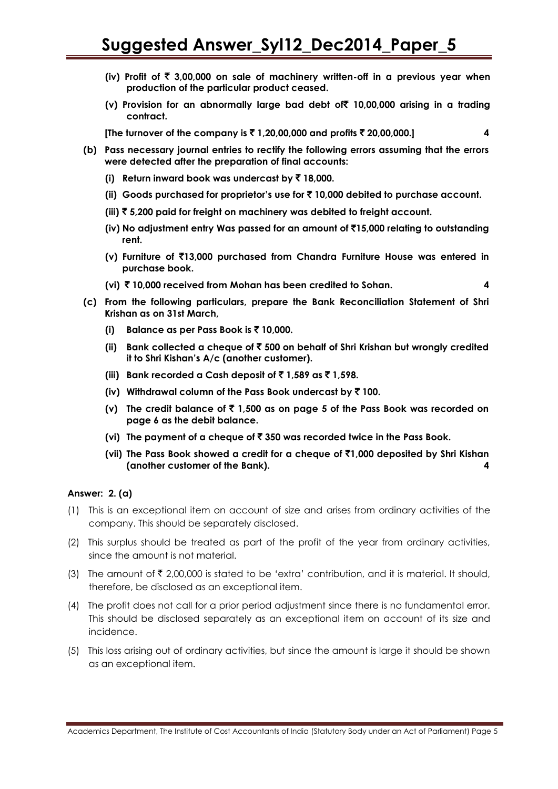- **(iv) Profit of** ` **3,00,000 on sale of machinery written-off in a previous year when production of the particular product ceased.**
- **(v) Provision for an abnormally large bad debt of**` **10,00,000 arising in a trading contract.**

**[The turnover of the company is** ` **1,20,00,000 and profits** ` **20,00,000.] 4**

- **(b) Pass necessary journal entries to rectify the following errors assuming that the errors were detected after the preparation of final accounts:**
	- **(i) Return inward book was undercast by** ` **18,000.**
	- **(ii) Goods purchased for proprietor's use for** ` **10,000 debited to purchase account.**
	- **(iii)** ` **5,200 paid for freight on machinery was debited to freight account.**
	- **(iv) No adjustment entry Was passed for an amount of** `**15,000 relating to outstanding rent.**
	- **(v) Furniture of** `**13,000 purchased from Chandra Furniture House was entered in purchase book.**
	- **(vi)** ` **10,000 received from Mohan has been credited to Sohan. 4**
- **(c) From the following particulars, prepare the Bank Reconciliation Statement of Shri Krishan as on 31st March,**
	- **(i) Balance as per Pass Book is** ` **10,000.**
	- **(ii) Bank collected a cheque of** ` **500 on behalf of Shri Krishan but wrongly credited it to Shri Kishan's A/c (another customer).**
	- **(iii)** Bank recorded a Cash deposit of  $\bar{\mathbf{z}}$  1,589 as  $\bar{\mathbf{z}}$  1,598.
	- **(iv) Withdrawal column of the Pass Book undercast by** ` **100.**
	- **(v) The credit balance of** ` **1,500 as on page 5 of the Pass Book was recorded on page 6 as the debit balance.**
	- **(vi) The payment of a cheque of** ` **350 was recorded twice in the Pass Book.**
	- **(vii) The Pass Book showed a credit for a cheque of** `**1,000 deposited by Shri Kishan (another customer of the Bank). 4**

### **Answer: 2. (a)**

- (1) This is an exceptional item on account of size and arises from ordinary activities of the company. This should be separately disclosed.
- (2) This surplus should be treated as part of the profit of the year from ordinary activities, since the amount is not material.
- (3) The amount of  $\bar{\tau}$  2,00,000 is stated to be 'extra' contribution, and it is material. It should, therefore, be disclosed as an exceptional item.
- (4) The profit does not call for a prior period adjustment since there is no fundamental error. This should be disclosed separately as an exceptional item on account of its size and incidence.
- (5) This loss arising out of ordinary activities, but since the amount is large it should be shown as an exceptional item.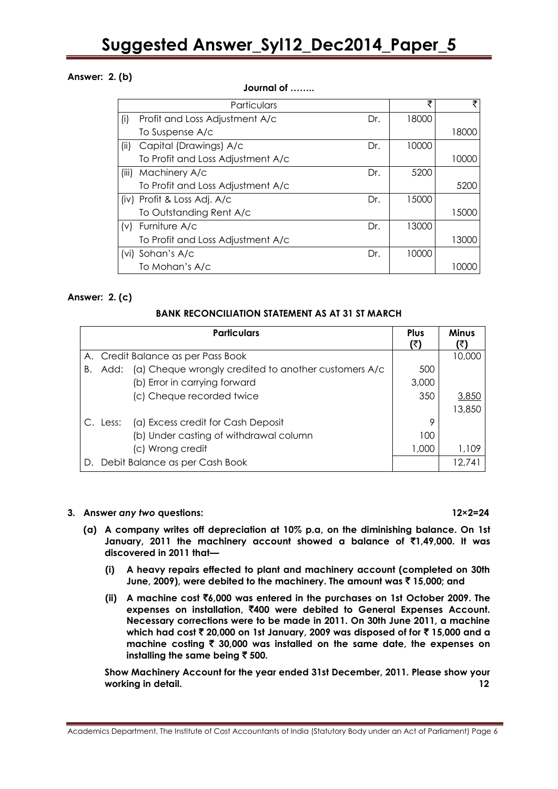### **Answer: 2. (b)**

#### Particulars  $\qquad \qquad$   $\qquad \qquad$   $\qquad$   $\qquad$   $\qquad$   $\qquad$   $\qquad$   $\qquad$   $\qquad$   $\qquad$   $\qquad$   $\qquad$   $\qquad$   $\qquad$   $\qquad$   $\qquad$   $\qquad$   $\qquad$   $\qquad$   $\qquad$   $\qquad$   $\qquad$   $\qquad$   $\qquad$   $\qquad$   $\qquad$   $\qquad$   $\qquad$   $\qquad$   $\qquad$   $\qquad$   $\qquad$   $\qquad$   $\qquad$ (i) Profit and Loss Adjustment A/c Dr. To Suspense A/c 18000 18000 (ii) Capital (Drawings) A/c Dr. To Profit and Loss Adjustment A/c 10000 10000 (iii) Machinery A/c Dr. To Profit and Loss Adjustment A/c 5200 5200 (iv) Profit & Loss Adj. A/c Dr. To Outstanding Rent A/c 15000 15000 (v) Furniture A/c Dr. To Profit and Loss Adjustment A/c 13000 13000 (vi) Sohan's A/c Dr. To Mohan's A/c 10000 10000

### **Answer: 2. (c)**

### **BANK RECONCILIATION STATEMENT AS AT 31 ST MARCH**

|    | <b>Particulars</b>                                           | <b>Plus</b><br>(₹) | <b>Minus</b> |
|----|--------------------------------------------------------------|--------------------|--------------|
|    | A. Credit Balance as per Pass Book                           |                    | 10,000       |
| Β. | (a) Cheque wrongly credited to another customers A/c<br>Add: | 500                |              |
|    | (b) Error in carrying forward                                | 3,000              |              |
|    | (c) Cheque recorded twice                                    | 350                | <u>3,850</u> |
|    |                                                              |                    | 13,850       |
|    | (a) Excess credit for Cash Deposit<br>C. Less:               | 9                  |              |
|    | (b) Under casting of withdrawal column                       | 100                |              |
|    | (c) Wrong credit                                             | 1,000              | 1,109        |
|    | D. Debit Balance as per Cash Book                            |                    | 12.741       |

### **3. Answer** *any two* **questions: 12×2=24**

- **(a) A company writes off depreciation at 10% p.a, on the diminishing balance. On 1st January, 2011 the machinery account showed a balance of** `**1,49,000. It was discovered in 2011 that—**
	- **(i) A heavy repairs effected to plant and machinery account (completed on 30th June, 2009), were debited to the machinery. The amount was** ` **15,000; and**
	- **(ii) A machine cost** `**6,000 was entered in the purchases on 1st October 2009. The expenses on installation,** `**400 were debited to General Expenses Account. Necessary corrections were to be made in 2011. On 30th June 2011, a machine which had cost** ` **20,000 on 1st January, 2009 was disposed of for** ` **15,000 and a machine costing** ` **30,000 was installed on the same date, the expenses on installing the same being** ` **500.**

**Show Machinery Account for the year ended 31st December, 2011. Please show your working in detail. 12**

### **Journal of ……..**

Academics Department, The Institute of Cost Accountants of India (Statutory Body under an Act of Parliament) Page 6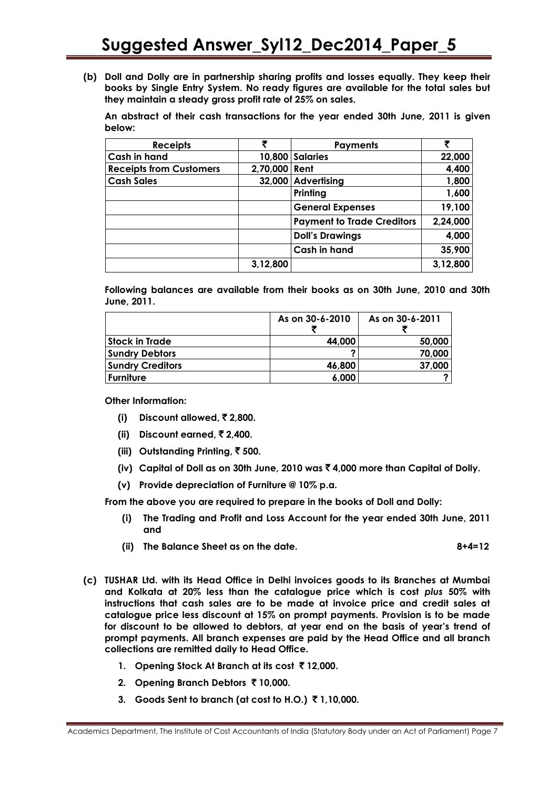**(b) Doll and Dolly are in partnership sharing profits and losses equally. They keep their books by Single Entry System. No ready figures are available for the total sales but they maintain a steady gross profit rate of 25% on sales.**

**An abstract of their cash transactions for the year ended 30th June, 2011 is given below:**

| <b>Receipts</b>                | ₹             | <b>Payments</b>                   |          |
|--------------------------------|---------------|-----------------------------------|----------|
| <b>Cash in hand</b>            |               | 10,800 Salaries                   | 22,000   |
| <b>Receipts from Customers</b> | 2,70,000 Rent |                                   | 4,400    |
| <b>Cash Sales</b>              | 32,000        | <b>Advertising</b>                | 1,800    |
|                                |               | Printing                          | 1,600    |
|                                |               | <b>General Expenses</b>           | 19,100   |
|                                |               | <b>Payment to Trade Creditors</b> | 2,24,000 |
|                                |               | <b>Doll's Drawings</b>            | 4,000    |
|                                |               | <b>Cash in hand</b>               | 35,900   |
|                                | 3,12,800      |                                   | 3,12,800 |

**Following balances are available from their books as on 30th June, 2010 and 30th June, 2011.**

|                         | As on 30-6-2010 | As on 30-6-2011 |
|-------------------------|-----------------|-----------------|
| <b>Stock in Trade</b>   | 44,000          | 50,000          |
| <b>Sundry Debtors</b>   |                 | 70,000          |
| <b>Sundry Creditors</b> | 46,800          | 37,000          |
| <b>Furniture</b>        | 6,000           |                 |

**Other Information:**

- **(i) Discount allowed,** ` **2,800.**
- **(ii) Discount earned,** ` **2,400.**
- **(iii) Outstanding Printing,** ` **500.**
- **(iv) Capital of Doll as on 30th June, 2010 was** ` **4,000 more than Capital of Dolly.**
- **(v) Provide depreciation of Furniture @ 10% p.a.**

**From the above you are required to prepare in the books of Doll and Dolly:**

- **(i) The Trading and Profit and Loss Account for the year ended 30th June, 2011 and**
- **(ii) The Balance Sheet as on the date. 8+4=12**
- **(c) TUSHAR Ltd. with its Head Office in Delhi invoices goods to its Branches at Mumbai and Kolkata at 20% less than the catalogue price which is cost** *plus* **50% with instructions that cash sales are to be made at invoice price and credit sales at catalogue price less discount at 15% on prompt payments. Provision is to be made for discount to be allowed to debtors, at year end on the basis of year's trend of prompt payments. All branch expenses are paid by the Head Office and all branch collections are remitted daily to Head Office.**
	- **1.** Opening Stock At Branch at its cost ₹12,000.
	- **2. Opening Branch Debtors** ` **10,000.**
	- **3. Goods Sent to branch (at cost to H.O.)** ` **1,10,000.**

Academics Department, The Institute of Cost Accountants of India (Statutory Body under an Act of Parliament) Page 7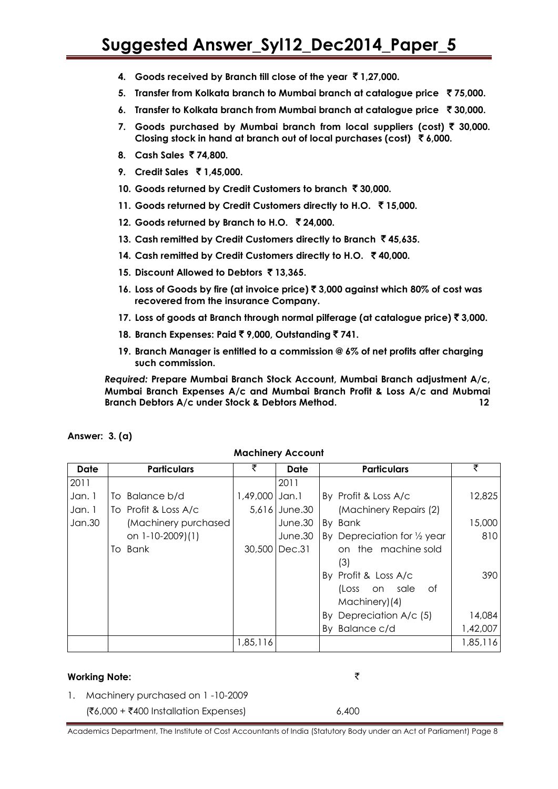- **4. Goods received by Branch till close of the year** ` **1,27,000.**
- **5. Transfer from Kolkata branch to Mumbai branch at catalogue price** ` **75,000.**
- **6. Transfer to Kolkata branch from Mumbai branch at catalogue price ₹30,000.**
- **7.** Goods purchased by Mumbai branch from local suppliers (cost) ₹ 30,000. **Closing stock in hand at branch out of local purchases (cost)** ` **6,000.**
- **8. Cash Sales** ` **74,800.**
- **9. Credit Sales** ` **1,45,000.**
- **10.** Goods returned by Credit Customers to branch ₹ 30,000.
- **11. Goods returned by Credit Customers directly to H.O.** ` **15,000.**
- **12. Goods returned by Branch to H.O.** ` **24,000.**
- **13. Cash remitted by Credit Customers directly to Branch** ` **45,635.**
- **14. Cash remitted by Credit Customers directly to H.O.** ` **40,000.**
- **15. Discount Allowed to Debtors** ` **13,365.**
- **16. Loss of Goods by fire (at invoice price)** ` **3,000 against which 80% of cost was recovered from the insurance Company.**
- **17. Loss of goods at Branch through normal pilferage (at catalogue price)** ` **3,000.**
- **18. Branch Expenses: Paid** ` **9,000, Outstanding** ` **741.**
- **19. Branch Manager is entitled to a commission @ 6% of net profits after charging such commission.**

*Required:* **Prepare Mumbai Branch Stock Account, Mumbai Branch adjustment A/c, Mumbai Branch Expenses A/c and Mumbai Branch Profit & Loss A/c and Mubmai Branch Debtors A/c under Stock & Debtors Method. 12**

| Date   | <b>Particulars</b>   | ₹              | Date          | <b>Particulars</b>           | ₹        |  |
|--------|----------------------|----------------|---------------|------------------------------|----------|--|
| 2011   |                      |                | 2011          |                              |          |  |
| Jan. 1 | Balance b/d<br>To    | 1,49,000 Jan.1 |               | By Profit & Loss A/c         | 12,825   |  |
| Jan. 1 | To Profit & Loss A/c |                | 5,616 June.30 | (Machinery Repairs (2)       |          |  |
| Jan.30 | (Machinery purchased |                | June.30       | By Bank                      | 15,000   |  |
|        | on 1-10-2009)(1)     |                | June.30       | By Depreciation for 1/2 year | 810      |  |
|        | To Bank              |                | 30,500 Dec.31 | on the machine sold          |          |  |
|        |                      |                |               | (3)                          |          |  |
|        |                      |                |               | By Profit & Loss A/c         | 390      |  |
|        |                      |                |               | on sale<br>of<br>(Loss       |          |  |
|        |                      |                |               | Machinery)(4)                |          |  |
|        |                      |                |               | Depreciation A/c (5)<br>Bv   | 14,084   |  |
|        |                      |                |               | By Balance c/d               | 1,42,007 |  |
|        |                      | 1,85,116       |               |                              | 1,85,116 |  |
|        |                      |                |               |                              |          |  |

### **Answer: 3. (a)**

### **Working Note:** `

1. Machinery purchased on 1 -10-2009  $({}^{2}C_{6,000} + {}^{2}400$  Installation Expenses) 6,400

Academics Department, The Institute of Cost Accountants of India (Statutory Body under an Act of Parliament) Page 8

### **Machinery Account**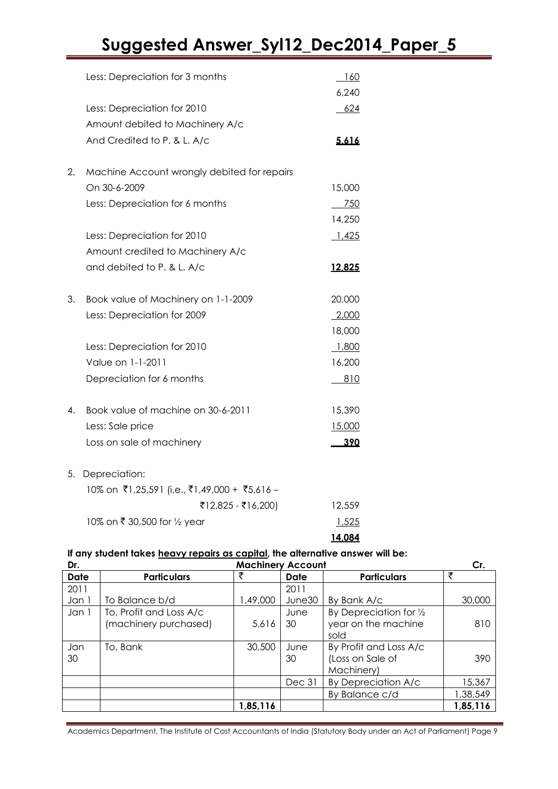|    | Less: Depreciation for 3 months              | 160<br>6,240 |
|----|----------------------------------------------|--------------|
|    | Less: Depreciation for 2010                  | 624          |
|    | Amount debited to Machinery A/c              |              |
|    | And Credited to P. & L. A/c                  | 5.616        |
| 2. | Machine Account wrongly debited for repairs  |              |
|    | On 30-6-2009                                 | 15,000       |
|    | Less: Depreciation for 6 months              | 750          |
|    |                                              | 14,250       |
|    | Less: Depreciation for 2010                  | 1,425        |
|    | Amount credited to Machinery A/c             |              |
|    | and debited to P. & L. A/c                   | 12.825       |
| 3. | Book value of Machinery on 1-1-2009          | 20,000       |
|    | Less: Depreciation for 2009                  | 2,000        |
|    |                                              | 18,000       |
|    | Less: Depreciation for 2010                  | 1,800        |
|    | Value on 1-1-2011                            | 16,200       |
|    | Depreciation for 6 months                    | 810          |
| 4. | Book value of machine on 30-6-2011           | 15,390       |
|    | Less: Sale price                             | 15,000       |
|    | Loss on sale of machinery                    | 390          |
| 5. | Depreciation:                                |              |
|    | 10% on ₹1,25,591 (i,e., ₹1,49,000 + ₹5,616 - |              |
|    | ₹12,825 - ₹16,200)                           | 12,559       |
|    | 10% on ₹ 30,500 for 1/2 year                 | 1,525        |
|    |                                              | 14.084       |

### **If any student takes heavy repairs as capital, the alternative answer will be:**

| Dr.         | <b>Machinery Account</b>                         |          |            |                                                          | Cr.      |
|-------------|--------------------------------------------------|----------|------------|----------------------------------------------------------|----------|
| <b>Date</b> | <b>Particulars</b>                               | ₹        | Date       | <b>Particulars</b>                                       | ₹        |
| 2011        |                                                  |          | 2011       |                                                          |          |
| Jan 1       | To Balance b/d                                   | ,49,000  | June30     | By Bank A/c                                              | 30,000   |
| Jan 1       | To, Profit and Loss A/c<br>(machinery purchased) | 5,616    | June<br>30 | By Depreciation for 1/2<br>year on the machine<br>sold   | 810      |
| Jan<br>30   | To, Bank                                         | 30,500   | June<br>30 | By Profit and Loss A/c<br>(Loss on Sale of<br>Machinery) | 390      |
|             |                                                  |          | Dec 31     | By Depreciation A/c                                      | 15,367   |
|             |                                                  |          |            | By Balance c/d                                           | 1,38,549 |
|             |                                                  | 1,85,116 |            |                                                          | 1,85,116 |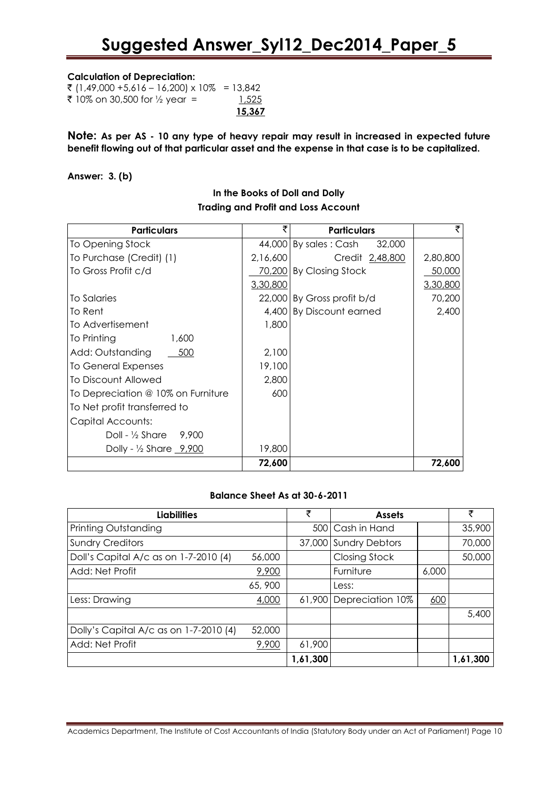#### **Calculation of Depreciation:**

|                                             | 15,367 |
|---------------------------------------------|--------|
| ₹ 10% on 30,500 for ½ year =                | 1,525  |
| ₹ (1,49,000 +5,616 – 16,200) x 10% = 13,842 |        |

**Note: As per AS - 10 any type of heavy repair may result in increased in expected future benefit flowing out of that particular asset and the expense in that case is to be capitalized.**

#### **Answer: 3. (b)**

| <b>Particulars</b>                            |          | <b>Particulars</b>                 |          |
|-----------------------------------------------|----------|------------------------------------|----------|
| To Opening Stock                              |          | $44,000$ By sales : Cash<br>32,000 |          |
| To Purchase (Credit) (1)                      | 2,16,600 | Credit 2,48,800                    | 2,80,800 |
| To Gross Profit c/d                           |          | 70,200 By Closing Stock            | 50,000   |
|                                               | 3,30,800 |                                    | 3,30,800 |
| To Salaries                                   |          | 22,000 By Gross profit b/d         | 70,200   |
| To Rent                                       |          | 4,400 By Discount earned           | 2,400    |
| To Advertisement                              | 1,800    |                                    |          |
| To Printing<br>1,600                          |          |                                    |          |
| Add: Outstanding<br>500                       | 2.100    |                                    |          |
| <b>To General Expenses</b>                    | 19,100   |                                    |          |
| <b>To Discount Allowed</b>                    | 2,800    |                                    |          |
| To Depreciation @ 10% on Furniture            | 600      |                                    |          |
| To Net profit transferred to                  |          |                                    |          |
| Capital Accounts:                             |          |                                    |          |
| Doll - $\frac{1}{2}$ Share<br>9,900           |          |                                    |          |
| Dolly - $\frac{1}{2}$ Share $\frac{9,900}{2}$ | 19,800   |                                    |          |
|                                               | 72,600   |                                    | 72,600   |

### **In the Books of Doll and Dolly Trading and Profit and Loss Account**

### **Balance Sheet As at 30-6-2011**

| <b>Liabilities</b>                     |        | ₹        | <b>Assets</b>         |       | ₹        |
|----------------------------------------|--------|----------|-----------------------|-------|----------|
| Printing Outstanding                   |        | 500      | I Cash in Hand        |       | 35,900   |
| <b>Sundry Creditors</b>                |        |          | 37,000 Sundry Debtors |       | 70,000   |
| Doll's Capital A/c as on 1-7-2010 (4)  | 56,000 |          | <b>Closing Stock</b>  |       | 50,000   |
| Add: Net Profit                        | 9,900  |          | Furniture             | 6,000 |          |
|                                        | 65,900 |          | Less:                 |       |          |
| Less: Drawing                          | 4,000  | 61,900   | Depreciation 10%      | 600   |          |
|                                        |        |          |                       |       | 5,400    |
| Dolly's Capital A/c as on 1-7-2010 (4) | 52,000 |          |                       |       |          |
| Add: Net Profit                        | 9,900  | 61,900   |                       |       |          |
|                                        |        | 1,61,300 |                       |       | 1,61,300 |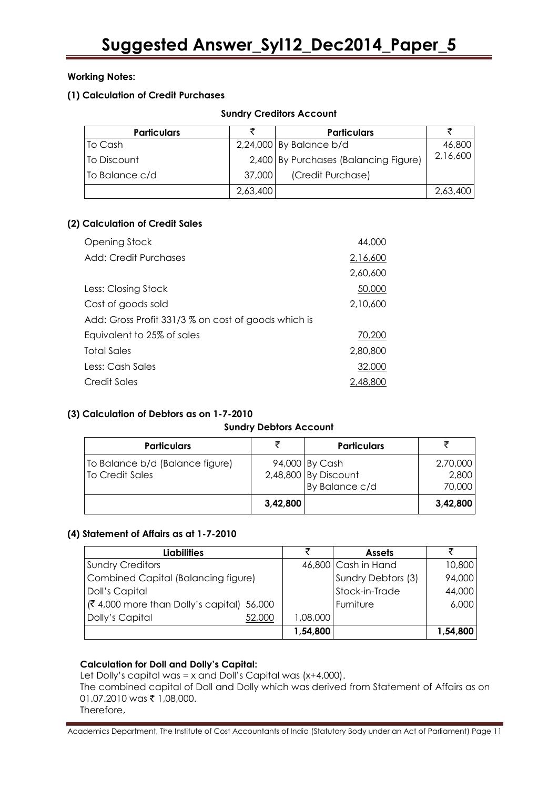### **Working Notes:**

### **(1) Calculation of Credit Purchases**

| <b>Particulars</b> |          | <b>Particulars</b>                    |          |
|--------------------|----------|---------------------------------------|----------|
| To Cash            |          | $2,24,000$ By Balance b/d             | 46,800   |
| To Discount        |          | 2,400 By Purchases (Balancing Figure) | 2,16,600 |
| To Balance c/d     | 37,000   | (Credit Purchase)                     |          |
|                    | 2,63,400 |                                       | 2,63,400 |

### **(2) Calculation of Credit Sales**

| <b>Opening Stock</b>                                | 44,000   |
|-----------------------------------------------------|----------|
| Add: Credit Purchases                               | 2,16,600 |
|                                                     | 2,60,600 |
| Less: Closing Stock                                 | 50,000   |
| Cost of goods sold                                  | 2,10,600 |
| Add: Gross Profit 331/3 % on cost of goods which is |          |
| Equivalent to 25% of sales                          | 70,200   |
| Total Sales                                         | 2,80,800 |
| Less: Cash Sales                                    | 32,000   |
| Credit Sales                                        | 2,48,800 |

### **(3) Calculation of Debtors as on 1-7-2010**

### **Sundry Debtors Account**

| <b>Particulars</b>                                 |          | <b>Particulars</b>                                       |                             |
|----------------------------------------------------|----------|----------------------------------------------------------|-----------------------------|
| To Balance b/d (Balance figure)<br>To Credit Sales |          | 94,000 By Cash<br>2,48,800 By Discount<br>By Balance c/d | 2,70,000<br>2,800<br>70,000 |
|                                                    | 3,42,800 |                                                          | 3,42,800                    |

### **(4) Statement of Affairs as at 1-7-2010**

| <b>Liabilities</b>                             |          | <b>Assets</b>       |          |
|------------------------------------------------|----------|---------------------|----------|
| <b>Sundry Creditors</b>                        |          | 46,800 Cash in Hand | 10,800   |
| Combined Capital (Balancing figure)            |          | Sundry Debtors (3)  | 94,000   |
| Doll's Capital                                 |          | Stock-in-Trade      | 44,000   |
| $(3,4,000)$ more than Dolly's capital $56,000$ |          | Furniture           | 6,000    |
| Dolly's Capital<br>52,000                      | 000,80,1 |                     |          |
|                                                | 1,54,800 |                     | 1,54,800 |

### **Calculation for Doll and Dolly's Capital:**

Let Dolly's capital was = x and Doll's Capital was (x+4,000).

The combined capital of Doll and Dolly which was derived from Statement of Affairs as on 01.07.2010 was ₹ 1,08,000.

Therefore,

Academics Department, The Institute of Cost Accountants of India (Statutory Body under an Act of Parliament) Page 11

### **Sundry Creditors Account**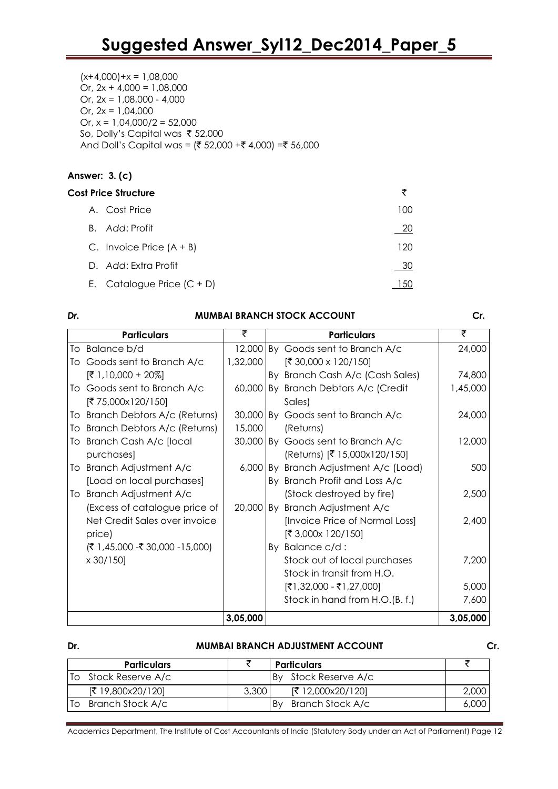$(x+4,000)+x = 1,08,000$ Or,  $2x + 4,000 = 1,08,000$ Or,  $2x = 1.08,000 - 4,000$ Or,  $2x = 1,04,000$ Or,  $x = 1,04,000/2 = 52,000$ So, Dolly's Capital was ₹ 52,000 And Doll's Capital was =  $($ ₹ 52,000 +₹ 4,000) =₹ 56,000

### **Answer: 3. (c)**

| <b>Cost Price Structure</b>  | ₹   |
|------------------------------|-----|
| A. Cost Price                | 100 |
| B. Add: Profit               | 20  |
| C. Invoice Price $(A + B)$   | 120 |
| D. Add: Extra Profit         | 30  |
| E. Catalogue Price $(C + D)$ |     |
|                              |     |

| Dr. | <b>MUMBAI BRANCH STOCK ACCOUNT</b> |          |  |                                    |          |
|-----|------------------------------------|----------|--|------------------------------------|----------|
|     | <b>Particulars</b>                 | ₹        |  | <b>Particulars</b>                 | ₹        |
|     | To Balance b/d                     | 12,000   |  | By Goods sent to Branch A/c        | 24,000   |
|     | To Goods sent to Branch A/c        | 1,32,000 |  | [₹ 30,000 x 120/150]               |          |
|     | $[ ₹ 1,10,000 + 20%]$              |          |  | By Branch Cash A/c (Cash Sales)    | 74,800   |
|     | To Goods sent to Branch A/c        | 60,000   |  | By Branch Debtors A/c (Credit      | 1,45,000 |
|     | [₹ 75,000x120/150]                 |          |  | Sales)                             |          |
| To  | Branch Debtors A/c (Returns)       | 30,000   |  | By Goods sent to Branch A/c        | 24,000   |
|     | To Branch Debtors A/c (Returns)    | 15,000   |  | (Returns)                          |          |
|     | To Branch Cash A/c [local          |          |  | 30,000 By Goods sent to Branch A/c | 12,000   |
|     | purchases]                         |          |  | (Returns) [₹ 15,000x120/150]       |          |
|     | To Branch Adjustment A/c           | 6,000    |  | By Branch Adjustment A/c (Load)    | 500      |
|     | [Load on local purchases]          |          |  | By Branch Profit and Loss A/c      |          |
|     | To Branch Adjustment A/c           |          |  | (Stock destroyed by fire)          | 2,500    |
|     | (Excess of catalogue price of      |          |  | 20,000 By Branch Adjustment A/c    |          |
|     | Net Credit Sales over invoice      |          |  | [Invoice Price of Normal Loss]     | 2,400    |
|     | price)                             |          |  | [₹ 3,000x 120/150]                 |          |
|     | $($ ₹ 1,45,000 -₹ 30,000 -15,000)  |          |  | By Balance c/d:                    |          |
|     | $\times$ 30/150]                   |          |  | Stock out of local purchases       | 7,200    |
|     |                                    |          |  | Stock in transit from H.O.         |          |
|     |                                    |          |  | $[ ₹1, 32, 000 - ₹1, 27, 000]$     | 5,000    |
|     |                                    |          |  | Stock in hand from H.O.(B. f.)     | 7,600    |
|     |                                    | 3,05,000 |  |                                    | 3,05,000 |

### **Dr. MUMBAI BRANCH ADJUSTMENT ACCOUNT Cr.**

|    | <b>Particulars</b> |       | <b>Particulars</b>     |       |
|----|--------------------|-------|------------------------|-------|
|    | Stock Reserve A/c  |       | By Stock Reserve A/c   |       |
|    | [ ₹ 19,800x20/120] | 3,300 | [ ₹ 12,000x20/120]     | 2,000 |
| Tο | Branch Stock A/c   |       | Branch Stock A/c<br>Bv | 6,000 |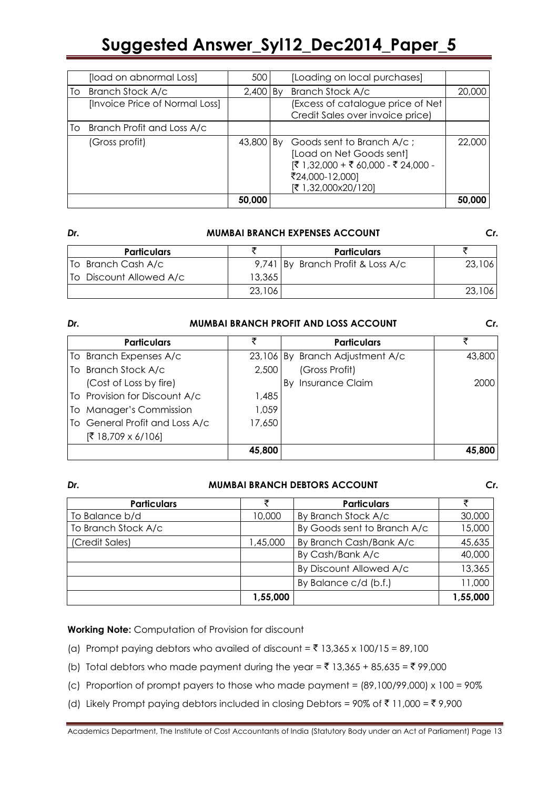| [load on abnormal Loss]        | 500         | [Loading on local purchases]                                                                                                           |        |
|--------------------------------|-------------|----------------------------------------------------------------------------------------------------------------------------------------|--------|
| To Branch Stock A/c            | $2,400$ By  | Branch Stock A/c                                                                                                                       | 20,000 |
| [Invoice Price of Normal Loss] |             | (Excess of catalogue price of Net                                                                                                      |        |
|                                |             | Credit Sales over invoice price)                                                                                                       |        |
| To Branch Profit and Loss A/c  |             |                                                                                                                                        |        |
| (Gross profit)                 | 43,800   By | Goods sent to Branch A/c;<br>[Load on Net Goods sent]<br> ₹ 1,32,000 + ₹ 60,000 - ₹ 24,000 -<br>₹24,000-12,000]<br>[₹ 1,32,000x20/120] | 22,000 |
|                                | 50,000      |                                                                                                                                        | 50.000 |

#### *Dr.* **MUMBAI BRANCH EXPENSES ACCOUNT** *Cr.*

| <b>Particulars</b>      |        | <b>Particulars</b>                |        |
|-------------------------|--------|-----------------------------------|--------|
| To Branch Cash A/c      |        | 9,741 By Branch Profit & Loss A/c | 23,106 |
| To Discount Allowed A/c | 13,365 |                                   |        |
|                         | 23,106 |                                   | 23,106 |

| Dr.                            | <b>MUMBAI BRANCH PROFIT AND LOSS ACCOUNT</b> |                                 |        |  |
|--------------------------------|----------------------------------------------|---------------------------------|--------|--|
| <b>Particulars</b>             | ₹                                            | <b>Particulars</b>              |        |  |
| To Branch Expenses A/c         |                                              | 23,106 By Branch Adjustment A/c | 43,800 |  |
| To Branch Stock A/c            | 2,500                                        | (Gross Profit)                  |        |  |
| (Cost of Loss by fire)         |                                              | <b>Insurance Claim</b><br>Bv    | 2000   |  |
| To Provision for Discount A/c  | 1,485                                        |                                 |        |  |
| To Manager's Commission        | 1,059                                        |                                 |        |  |
| To General Profit and Loss A/c | 17,650                                       |                                 |        |  |
| $[ ₹ 18,709 \times 6/106]$     |                                              |                                 |        |  |
|                                | 45,800                                       |                                 | 45,800 |  |

### *Dr.* **MUMBAI BRANCH DEBTORS ACCOUNT** *Cr.*

| <b>Particulars</b>                                 |          | <b>Particulars</b>      |          |
|----------------------------------------------------|----------|-------------------------|----------|
| To Balance b/d                                     | 10,000   | By Branch Stock A/c     | 30,000   |
| To Branch Stock A/c<br>By Goods sent to Branch A/c |          | 15,000                  |          |
| (Credit Sales)                                     | 1,45,000 | By Branch Cash/Bank A/c | 45,635   |
|                                                    |          | By Cash/Bank A/c        | 40,000   |
|                                                    |          | By Discount Allowed A/c | 13,365   |
|                                                    |          | By Balance c/d (b.f.)   | 11,000   |
|                                                    | 1,55,000 |                         | 1,55,000 |

### **Working Note:** Computation of Provision for discount

- (a) Prompt paying debtors who availed of discount =  $\overline{5}$  13,365 x 100/15 = 89,100
- (b) Total debtors who made payment during the year =  $\overline{3}$  13,365 + 85,635 =  $\overline{3}$  99,000
- (c) Proportion of prompt payers to those who made payment =  $(89,100/99,000) \times 100 = 90\%$
- (d) Likely Prompt paying debtors included in closing Debtors = 90% of ₹11,000 = ₹9,900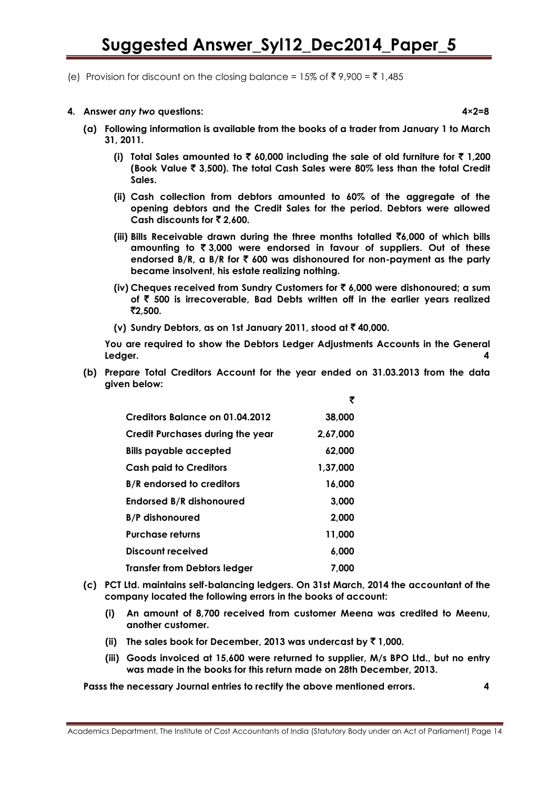- (e) Provision for discount on the closing balance = 15% of ₹9,900 = ₹1,485
- **4. Answer** *any two* **questions: 4×2=8**

- **(a) Following information is available from the books of a trader from January 1 to March 31, 2011.**
	- **(i)** Total Sales amounted to  $\bar{\mathbf{z}}$  60,000 including the sale of old furniture for  $\bar{\mathbf{z}}$  1,200 **(Book Value** ` **3,500). The total Cash Sales were 80% less than the total Credit Sales.**
	- **(ii) Cash collection from debtors amounted to 60% of the aggregate of the opening debtors and the Credit Sales for the period. Debtors were allowed Cash discounts for** ` **2,600.**
	- **(iii) Bills Receivable drawn during the three months totalled** `**6,000 of which bills amounting to** ` **3,000 were endorsed in favour of suppliers. Out of these endorsed B/R, a B/R for** ` **600 was dishonoured for non-payment as the party became insolvent, his estate realizing nothing.**
	- **(iv) Cheques received from Sundry Customers for** ` **6,000 were dishonoured; a sum of** ` **500 is irrecoverable, Bad Debts written off in the earlier years realized**  `**2,500.**
	- **(v) Sundry Debtors, as on 1st January 2011, stood at** ` **40,000.**

**You are required to show the Debtors Ledger Adjustments Accounts in the General Ledger. 4**

**(b) Prepare Total Creditors Account for the year ended on 31.03.2013 from the data given below:**

|                                         | ₹        |
|-----------------------------------------|----------|
| Creditors Balance on 01.04.2012         | 38,000   |
| <b>Credit Purchases during the year</b> | 2,67,000 |
| Bills payable accepted                  | 62,000   |
| <b>Cash paid to Creditors</b>           | 1,37,000 |
| <b>B/R</b> endorsed to creditors        | 16,000   |
| <b>Endorsed B/R dishonoured</b>         | 3,000    |
| <b>B/P</b> dishonoured                  | 2.000    |
| <b>Purchase returns</b>                 | 11,000   |
| Discount received                       | 6,000    |
| <b>Transfer from Debtors ledger</b>     | 7.000    |

- **(c) PCT Ltd. maintains self-balancing ledgers. On 31st March, 2014 the accountant of the company located the following errors in the books of account:**
	- **(i) An amount of 8,700 received from customer Meena was credited to Meenu, another customer.**
	- **(ii)** The sales book for December, 2013 was undercast by  $\bar{z}$  1,000.
	- **(iii) Goods invoiced at 15,600 were returned to supplier, M/s BPO Ltd., but no entry was made in the books for this return made on 28th December, 2013.**

**Passs the necessary Journal entries to rectify the above mentioned errors. 4**

Academics Department, The Institute of Cost Accountants of India (Statutory Body under an Act of Parliament) Page 14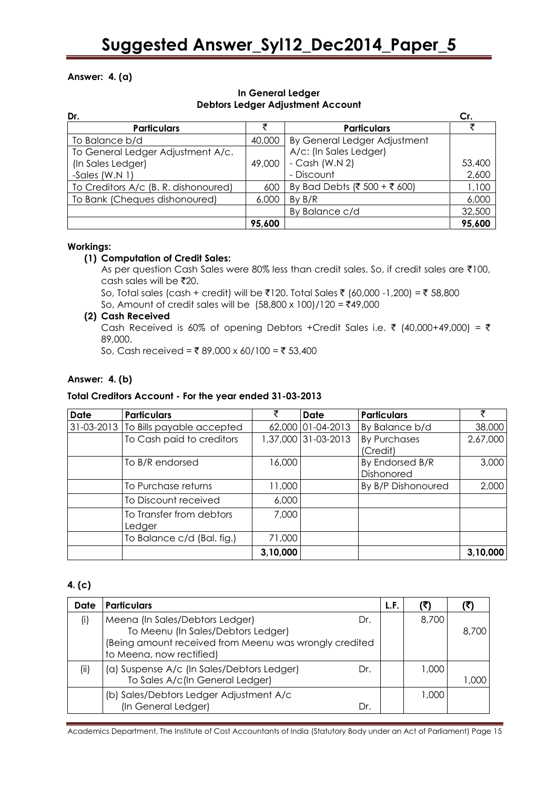### **Answer: 4. (a)**

### **In General Ledger Debtors Ledger Adjustment Account**

| Dr.                                  |        |                              |        |
|--------------------------------------|--------|------------------------------|--------|
| <b>Particulars</b>                   |        | <b>Particulars</b>           |        |
| To Balance b/d                       | 40,000 | By General Ledger Adjustment |        |
| To General Ledger Adjustment A/c.    |        | A/c: (In Sales Ledger)       |        |
| (In Sales Ledger)                    | 49,000 | $-Cash (W.N 2)$              | 53,400 |
| -Sales $(W.N 1)$                     |        | - Discount                   | 2,600  |
| To Creditors A/c (B. R. dishonoured) | 600    | By Bad Debts (₹ 500 + ₹ 600) | 1,100  |
| To Bank (Cheques dishonoured)        | 6,000  | By B/R                       | 6,000  |
|                                      |        | By Balance c/d               | 32,500 |
|                                      | 95,600 |                              | 95,600 |

### **Workings:**

### **(1) Computation of Credit Sales:**

As per question Cash Sales were 80% less than credit sales. So, if credit sales are ₹100, cash sales will be  $\bar{x}$ 20.

So, Total sales (cash + credit) will be ₹120. Total Sales ₹ (60,000 -1,200) = ₹ 58,800 So, Amount of credit sales will be  $(58,800 \times 100)/120 = ₹49,000$ 

### **(2) Cash Received**

Cash Received is 60% of opening Debtors +Credit Sales i.e.  $\bar{\tau}$  (40,000+49,000) =  $\bar{\tau}$ 89,000.

So, Cash received = ₹ 89,000 x 60/100 = ₹ 53,400

### **Answer: 4. (b)**

### **Total Creditors Account - For the year ended 31-03-2013**

| <b>Date</b> | <b>Particulars</b>                   |          | Date                | <b>Particulars</b>              |          |
|-------------|--------------------------------------|----------|---------------------|---------------------------------|----------|
|             | 31-03-2013 To Bills payable accepted |          | 62,000 01-04-2013   | By Balance b/d                  | 38,000   |
|             | To Cash paid to creditors            |          | 1,37,000 31-03-2013 | <b>By Purchases</b><br>(Credit) | 2,67,000 |
|             | To B/R endorsed                      | 16,000   |                     | By Endorsed B/R<br>Dishonored   | 3,000    |
|             | To Purchase returns                  | 11,000   |                     | By B/P Dishonoured              | 2,000    |
|             | To Discount received                 | 6,000    |                     |                                 |          |
|             | To Transfer from debtors<br>Ledger   | 7,000    |                     |                                 |          |
|             | To Balance c/d (Bal. fig.)           | 71,000   |                     |                                 |          |
|             |                                      | 3,10,000 |                     |                                 | 3,10,000 |

### **4. (c)**

| Date | <b>Particulars</b>                                                                                                                                                 | L.F. |       |       |
|------|--------------------------------------------------------------------------------------------------------------------------------------------------------------------|------|-------|-------|
| (i)  | Meena (In Sales/Debtors Ledger)<br>Dr.<br>To Meenu (In Sales/Debtors Ledger)<br>(Being amount received from Meenu was wrongly credited<br>to Meena, now rectified) |      | 8,700 | 8,700 |
| (ii) | (a) Suspense A/c (In Sales/Debtors Ledger)<br>Dr.<br>To Sales A/c(In General Ledger)                                                                               |      | 1,000 | 1.000 |
|      | (b) Sales/Debtors Ledger Adjustment A/c<br>(In General Ledger)<br>Dr.                                                                                              |      | 1,000 |       |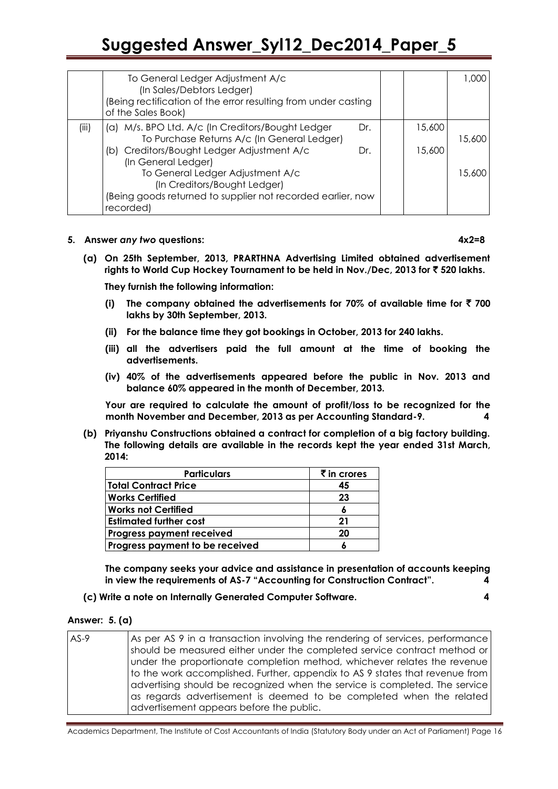|       | To General Ledger Adjustment A/c<br>(In Sales/Debtors Ledger)<br>(Being rectification of the error resulting from under casting<br>of the Sales Book) |        | 1.000  |
|-------|-------------------------------------------------------------------------------------------------------------------------------------------------------|--------|--------|
| (iii) | (a) M/s. BPO Ltd. A/c (In Creditors/Bought Ledger<br>Dr.<br>To Purchase Returns A/c (In General Ledger)                                               | 15,600 | 15,600 |
|       | (b) Creditors/Bought Ledger Adjustment A/c<br>Dr.<br>(In General Ledger)                                                                              | 15,600 |        |
|       | To General Ledger Adjustment A/c<br>(In Creditors/Bought Ledger)                                                                                      |        | 15,600 |
|       | (Being goods returned to supplier not recorded earlier, now                                                                                           |        |        |
|       | recorded)                                                                                                                                             |        |        |

#### **5. Answer** *any two* **questions: 4x2=8**

**(a) On 25th September, 2013, PRARTHNA Advertising Limited obtained advertisement rights to World Cup Hockey Tournament to be held in Nov./Dec, 2013 for** ` **520 lakhs.**

**They furnish the following information:**

- **(i)** The company obtained the advertisements for 70% of available time for  $\bar{f}$  700 **lakhs by 30th September, 2013.**
- **(ii) For the balance time they got bookings in October, 2013 for 240 lakhs.**
- **(iii) all the advertisers paid the full amount at the time of booking the advertisements.**
- **(iv) 40% of the advertisements appeared before the public in Nov. 2013 and balance 60% appeared in the month of December, 2013.**

**Your are required to calculate the amount of profit/loss to be recognized for the month November and December, 2013 as per Accounting Standard-9. 4**

**(b) Priyanshu Constructions obtained a contract for completion of a big factory building. The following details are available in the records kept the year ended 31st March, 2014:**

| <b>Particulars</b>               | $\bar{\tau}$ in crores |
|----------------------------------|------------------------|
| <b>Total Contract Price</b>      | 45                     |
| <b>Works Certified</b>           | 23                     |
| <b>Works not Certified</b>       |                        |
| <b>Estimated further cost</b>    | 21                     |
| <b>Progress payment received</b> | 20                     |
| Progress payment to be received  |                        |

**The company seeks your advice and assistance in presentation of accounts keeping in view the requirements of AS-7 "Accounting for Construction Contract".** 4

**(c) Write a note on Internally Generated Computer Software. 4**

#### **Answer: 5. (a)**

| $AS-9$ | As per AS 9 in a transaction involving the rendering of services, performance<br>should be measured either under the completed service contract method or<br>under the proportionate completion method, whichever relates the revenue<br>to the work accomplished. Further, appendix to AS 9 states that revenue from<br>advertising should be recognized when the service is completed. The service<br>as regards advertisement is deemed to be completed when the related<br>advertisement appears before the public. |
|--------|-------------------------------------------------------------------------------------------------------------------------------------------------------------------------------------------------------------------------------------------------------------------------------------------------------------------------------------------------------------------------------------------------------------------------------------------------------------------------------------------------------------------------|
|--------|-------------------------------------------------------------------------------------------------------------------------------------------------------------------------------------------------------------------------------------------------------------------------------------------------------------------------------------------------------------------------------------------------------------------------------------------------------------------------------------------------------------------------|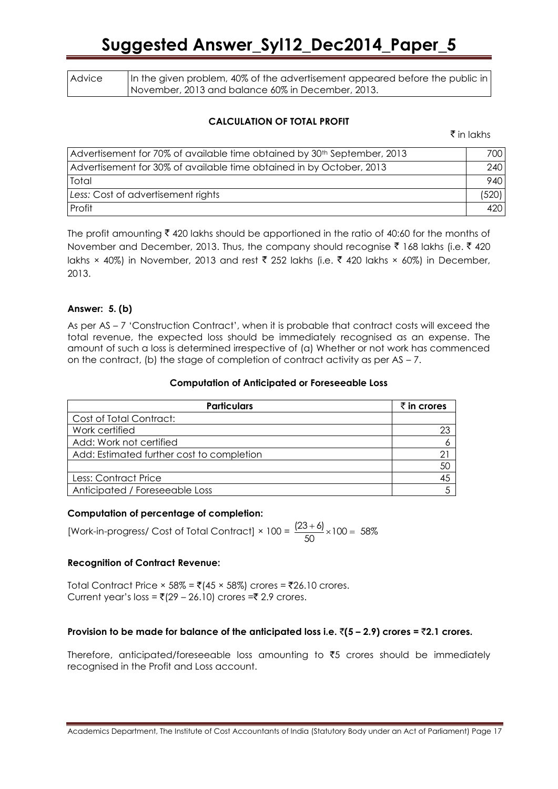| Advice | In the given problem, 40% of the advertisement appeared before the public in |
|--------|------------------------------------------------------------------------------|
|        | November, 2013 and balance 60% in December, 2013.                            |

### **CALCULATION OF TOTAL PROFIT**

 $\bar{\tau}$  in lakhs

| Advertisement for 70% of available time obtained by 30th September, 2013 | 700 I |
|--------------------------------------------------------------------------|-------|
| Advertisement for 30% of available time obtained in by October, 2013     | 240   |
| Total                                                                    | 940   |
| Less: Cost of advertisement rights                                       | (520) |
| Profit                                                                   | 420   |

The profit amounting  $\bar{\tau}$  420 lakhs should be apportioned in the ratio of 40:60 for the months of November and December, 2013. Thus, the company should recognise  $\bar{\tau}$  168 lakhs (i.e.  $\bar{\tau}$  420 lakhs × 40%) in November, 2013 and rest ₹ 252 lakhs (i.e. ₹ 420 lakhs × 60%) in December, 2013.

### **Answer: 5. (b)**

As per AS – 7 'Construction Contract', when it is probable that contract costs will exceed the total revenue, the expected loss should be immediately recognised as an expense. The amount of such a loss is determined irrespective of (a) Whether or not work has commenced on the contract, (b) the stage of completion of contract activity as per  $AS - 7$ .

#### **Computation of Anticipated or Foreseeable Loss**

| <b>Particulars</b>                        | $\bar{\tau}$ in crores |
|-------------------------------------------|------------------------|
| Cost of Total Contract:                   |                        |
| Work certified                            |                        |
| Add: Work not certified                   | 6                      |
| Add: Estimated further cost to completion |                        |
|                                           | 50                     |
| Less: Contract Price                      | 45                     |
| Anticipated / Foreseeable Loss            |                        |

### **Computation of percentage of completion:**

[Work-in-progress/ Cost of Total Contract]  $\times$  100 =  $\frac{(23+6)}{50} \times 100 = 58\%$  $\frac{(+6)}{2} \times 100 =$ 

### **Recognition of Contract Revenue:**

Total Contract Price × 58% =  $\bar{\bar{\mathfrak{c}}}$ (45 × 58%) crores =  $\bar{\bar{\mathfrak{c}}}$ 26.10 crores. Current year's loss =  $\overline{(}$ (29 – 26.10) crores = $\overline{(}$  2.9 crores.

### **Provision to be made for balance of the anticipated loss i.e.**  $\bar{\tau}(5 - 2.9)$  **crores =**  $\bar{\tau}2.1$  **crores.**

Therefore, anticipated/foreseeable loss amounting to  $\overline{5}5$  crores should be immediately recognised in the Profit and Loss account.

Academics Department, The Institute of Cost Accountants of India (Statutory Body under an Act of Parliament) Page 17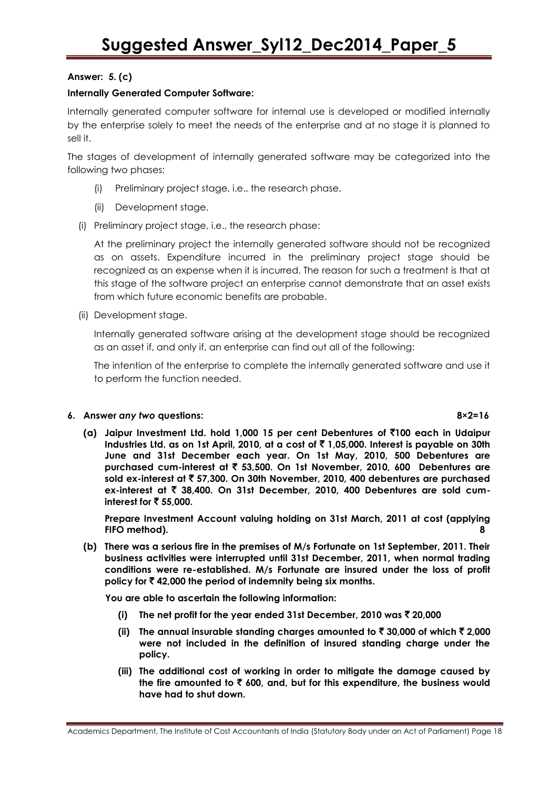### **Answer: 5. (c)**

### **Internally Generated Computer Software:**

Internally generated computer software for internal use is developed or modified internally by the enterprise solely to meet the needs of the enterprise and at no stage it is planned to sell it.

The stages of development of internally generated software may be categorized into the following two phases:

- (i) Preliminary project stage, i.e., the research phase.
- (ii) Development stage.
- (i) Preliminary project stage, i.e., the research phase:

At the preliminary project the internally generated software should not be recognized as on assets. Expenditure incurred in the preliminary project stage should be recognized as an expense when it is incurred. The reason for such a treatment is that at this stage of the software project an enterprise cannot demonstrate that an asset exists from which future economic benefits are probable.

(ii) Development stage.

Internally generated software arising at the development stage should be recognized as an asset if, and only if, an enterprise can find out all of the following:

The intention of the enterprise to complete the internally generated software and use it to perform the function needed.

### **6. Answer** *any two* **questions: 8×2=16**

**(a) Jaipur Investment Ltd. hold 1,000 15 per cent Debentures of** `**100 each in Udaipur Industries Ltd. as on 1st April, 2010, at a cost of** ` **1,05,000. Interest is payable on 30th June and 31st December each year. On 1st May, 2010, 500 Debentures are purchased cum-interest at** ` **53,500. On 1st November, 2010, 600 Debentures are sold ex-interest at** ` **57,300. On 30th November, 2010, 400 debentures are purchased ex-interest at** ` **38,400. On 31st December, 2010, 400 Debentures are sold cuminterest for** ` **55,000.**

**Prepare Investment Account valuing holding on 31st March, 2011 at cost (applying FIFO method). 8**

**(b) There was a serious fire in the premises of M/s Fortunate on 1st September, 2011. Their business activities were interrupted until 31st December, 2011, when normal trading conditions were re-established. M/s Fortunate are insured under the loss of profit policy for** ` **42,000 the period of indemnity being six months.**

**You are able to ascertain the following information:**

- **(i) The net profit for the year ended 31st December, 2010 was** ` **20,000**
- **(ii)** The annual insurable standing charges amounted to  $\bar{\tau}$  30,000 of which  $\bar{\tau}$  2,000 **were not included in the definition of insured standing charge under the policy.**
- **(iii) The additional cost of working in order to mitigate the damage caused by the fire amounted to** ` **600, and, but for this expenditure, the business would have had to shut down.**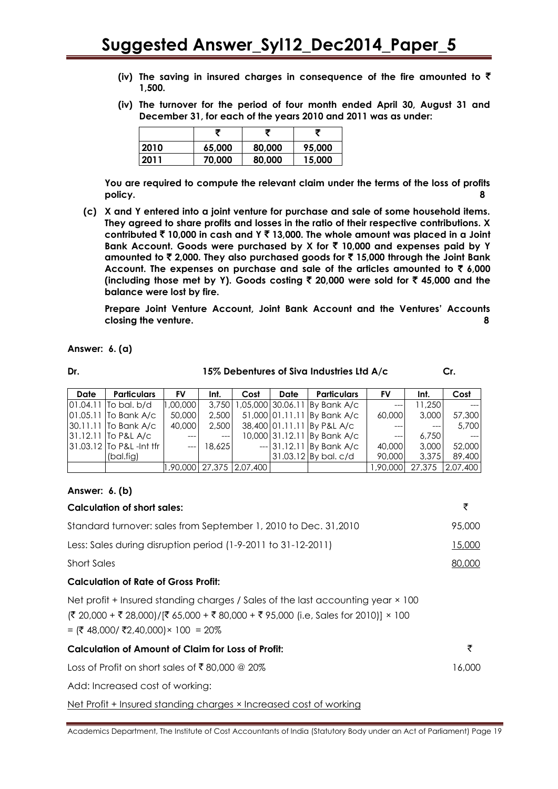- **(iv) The saving in insured charges in consequence of the fire amounted to** ` **1,500.**
- **(iv) The turnover for the period of four month ended April 30, August 31 and December 31, for each of the years 2010 and 2011 was as under:**

| 2010 | 65,000 | 80,000 | 95,000 |
|------|--------|--------|--------|
| 2011 | 70,000 | 80,000 | 15,000 |

**You are required to compute the relevant claim under the terms of the loss of profits policy. 8**

**(c) X and Y entered into a joint venture for purchase and sale of some household items. They agreed to share profits and losses in the ratio of their respective contributions. X contributed** ` **10,000 in cash and Y** ` **13,000. The whole amount was placed in a Joint Bank Account. Goods were purchased by X for** ` **10,000 and expenses paid by Y amounted to** ` **2,000. They also purchased goods for** ` **15,000 through the Joint Bank Account. The expenses on purchase and sale of the articles amounted to** ` **6,000 (including those met by Y). Goods costing** ` **20,000 were sold for** ` **45,000 and the balance were lost by fire.**

**Prepare Joint Venture Account, Joint Bank Account and the Ventures' Accounts closing the venture. 8**

**Answer: 6. (a)**

|  | ۰, |
|--|----|
|  |    |

#### **Dr. 15% Debentures of Siva Industries Ltd A/c Cr.**

**Date Particulars FV Int. Cost Date Particulars FV Int. Cost** [01.04.11](http://01.04.x1/)  To bal. b/d 01.05.11 30.11.11 To Bank A/c 31.12.11 To P&L A/c 31.03.12 To P&L -Int tfr To Bank A/c (bal.fig) 1,00,000 50,000 40,000 --- --- 3,750 2,500 2,500 --- 18,625 1,05,000 51,000 01.11.11 By Bank A/c 38,400 01.11.11 By P&L A/c 10,000 31.12.11 --- 30.06.11 31.12.11 31.03.12 By bal. c/d By Bank A/c By Bank A/c By Bank A/c --- 60,000 --- --- 40,000 90,000 11,250 3,000 --- 6,750 3,000 3,375 --- 57,300 5,700 --- 52,000 89,400 1,90,000 27,375 2,07,400 1,90,000 27,375 2,07,400

### **Answer: 6. (b)**

| Calculation of short sales:                                     | ₹      |
|-----------------------------------------------------------------|--------|
| Standard turnover: sales from September 1, 2010 to Dec. 31,2010 | 95,000 |
| Less: Sales during disruption period (1-9-2011 to 31-12-2011)   | 15,000 |
| <b>Short Sales</b>                                              | 80,000 |
| Calculation of Rate of Gross Profit:                            |        |

### Net profit + Insured standing charges / Sales of the last accounting year × 100  $(3 \times 20,000 + \overline{5} \times 28,000)/[\overline{5} \times 65,000 + \overline{5} \times 80,000 + \overline{5} \times 95,000]$  (i.e, Sales for 2010)]  $\times$  100

=  $({\overline{\mathbf{\xi}}} 48,000 / {\overline{\mathbf{\xi}}} 2,40,000) \times 100 = 20%$ 

### **Calculation of Amount of Claim for Loss of Profit:** `

Loss of Profit on short sales of  $\bar{\bar{\epsilon}}$  80,000 @ 20% 16,000  $\bar{\epsilon}$ 

Add: Increased cost of working:

Net Profit + Insured standing charges × Increased cost of working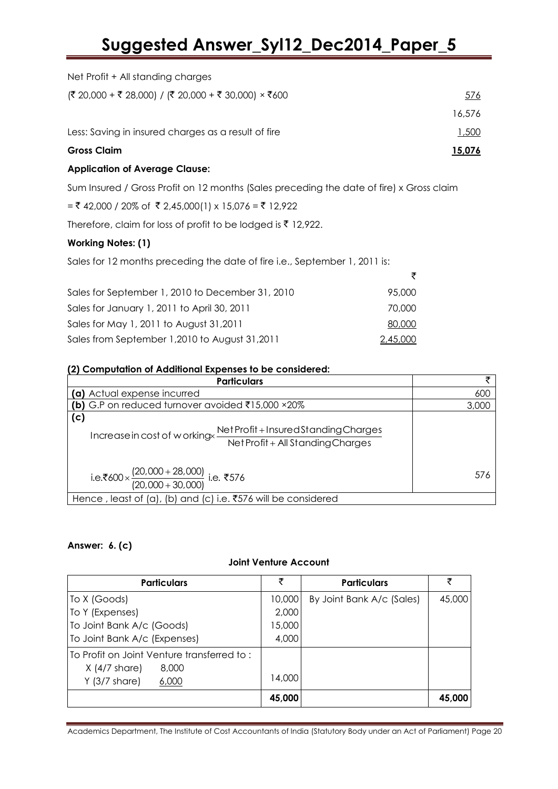| <b>Application of Average Clause:</b>                                              |        |
|------------------------------------------------------------------------------------|--------|
| <b>Gross Claim</b>                                                                 | 15,076 |
| Less: Saving in insured charges as a result of fire                                | 1,500  |
|                                                                                    | 16.576 |
| $(\overline{\xi}$ 20,000 + ₹ 28,000) / $(\overline{\xi}$ 20,000 + ₹ 30,000) × ₹600 | 576    |
| Net Profit + All standing charges                                                  |        |

Sum Insured / Gross Profit on 12 months (Sales preceding the date of fire) x Gross claim

 $=$  ₹ 42,000 / 20% of ₹ 2,45,000(1) x 15,076 = ₹ 12,922

Therefore, claim for loss of profit to be lodged is  $\bar{z}$  12,922.

### **Working Notes: (1)**

| Sales for 12 months preceding the date of fire i.e., September 1, 2011 is: |          |
|----------------------------------------------------------------------------|----------|
|                                                                            | ₹        |
| Sales for September 1, 2010 to December 31, 2010                           | 95,000   |
| Sales for January 1, 2011 to April 30, 2011                                | 70,000   |
| Sales for May 1, 2011 to August 31, 2011                                   | 80,000   |
| Sales from September 1, 2010 to August 31, 2011                            | 2,45,000 |

### **(2) Computation of Additional Expenses to be considered:**

| <b>Particulars</b>                                                                                                | チ     |
|-------------------------------------------------------------------------------------------------------------------|-------|
| (a) Actual expense incurred                                                                                       | 600   |
| (b) G.P on reduced turnover avoided ₹15,000 $\times 20\%$                                                         | 3,000 |
| (c)<br>Net Profit + Insured Standing Charges<br>Increase in cost of workingx<br>Net Profit + All Standing Charges |       |
| i.e.₹600 × $\frac{(20,000 + 28,000)}{(20,000 + 30,000)}$ i.e. ₹576                                                | 576   |
| Hence, least of (a), (b) and (c) i.e. $\overline{5576}$ will be considered                                        |       |

### **Answer: 6. (c)**

### **Joint Venture Account**

| <b>Particulars</b>                         | ₹      | <b>Particulars</b>        | ₹      |
|--------------------------------------------|--------|---------------------------|--------|
| To X (Goods)                               | 10,000 | By Joint Bank A/c (Sales) | 45,000 |
| To Y (Expenses)                            | 2,000  |                           |        |
| To Joint Bank A/c (Goods)                  | 15,000 |                           |        |
| To Joint Bank A/c (Expenses)               | 4,000  |                           |        |
| To Profit on Joint Venture transferred to: |        |                           |        |
| $X$ (4/7 share)<br>8,000                   |        |                           |        |
| $Y$ (3/7 share)<br>6,000                   | 14,000 |                           |        |
|                                            | 45,000 |                           | 45,000 |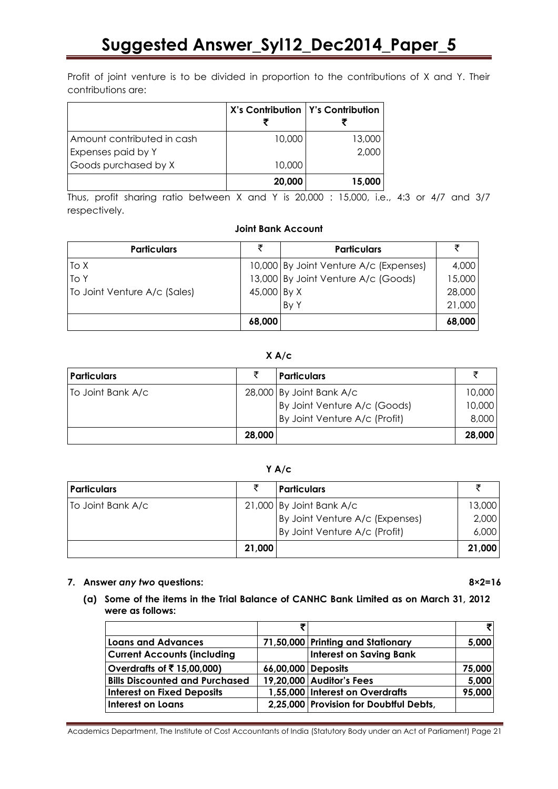Profit of joint venture is to be divided in proportion to the contributions of X and Y. Their contributions are:

|                            | X's Contribution   Y's Contribution |        |
|----------------------------|-------------------------------------|--------|
| Amount contributed in cash | 10,000                              | 13,000 |
| Expenses paid by Y         |                                     | 2,000  |
| Goods purchased by X       | 10,000                              |        |
|                            | 20,000                              | 15.000 |

Thus, profit sharing ratio between X and Y is 20,000 : 15,000, i.e., 4:3 or 4/7 and 3/7 respectively.

### **Joint Bank Account**

| <b>Particulars</b>           | ₹           | <b>Particulars</b>                     | ₹      |
|------------------------------|-------------|----------------------------------------|--------|
| To X                         |             | 10,000 By Joint Venture A/c (Expenses) | 4,000  |
| To Y                         |             | 13,000 By Joint Venture A/c (Goods)    | 15,000 |
| To Joint Venture A/c (Sales) | 45,000 By X |                                        | 28,000 |
|                              |             | By Y                                   | 21,000 |
|                              | 68,000      |                                        | 68,000 |

### **X A/c**

| <b>Particulars</b> |        | <b>Particulars</b>            |        |
|--------------------|--------|-------------------------------|--------|
| To Joint Bank A/c  |        | 28,000 By Joint Bank A/c      | 10,000 |
|                    |        | By Joint Venture A/c (Goods)  | 10,000 |
|                    |        | By Joint Venture A/c (Profit) | 8,000  |
|                    | 28,000 |                               | 28,000 |

### **Y A/c**

| <b>Particulars</b> |                            | <b>Particulars</b>              |        |
|--------------------|----------------------------|---------------------------------|--------|
| To Joint Bank A/c  | $21,000$ By Joint Bank A/c |                                 | 13,000 |
|                    |                            | By Joint Venture A/c (Expenses) | 2,000  |
|                    |                            | By Joint Venture A/c (Profit)   | 6,000  |
|                    | 21,000                     |                                 | 21,000 |

### **7. Answer** *any two* **questions: 8×2=16**

**(a) Some of the items in the Trial Balance of CANHC Bank Limited as on March 31, 2012 were as follows:**

|                                       | ₹                  |                                        | 키      |
|---------------------------------------|--------------------|----------------------------------------|--------|
| <b>Loans and Advances</b>             |                    | 71,50,000 Printing and Stationary      | 5,000  |
| <b>Current Accounts (including</b>    |                    | <b>Interest on Saving Bank</b>         |        |
| Overdrafts of ₹15,00,000)             | 66,00,000 Deposits |                                        | 75,000 |
| <b>Bills Discounted and Purchased</b> |                    | 19,20,000 Auditor's Fees               | 5,000  |
| <b>Interest on Fixed Deposits</b>     |                    | 1,55,000 Interest on Overdrafts        | 95,000 |
| <b>Interest on Loans</b>              |                    | 2,25,000 Provision for Doubtful Debts, |        |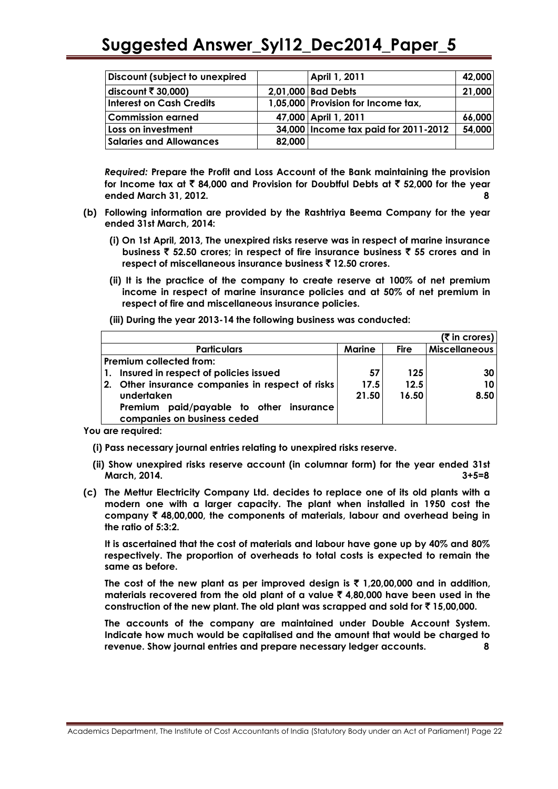| Discount (subject to unexpired  |        | <b>April 1, 2011</b>                   | 42,000 |
|---------------------------------|--------|----------------------------------------|--------|
| discount $\bar{\tau}$ 30,000)   |        | 2,01,000 Bad Debts                     | 21,000 |
| <b>Interest on Cash Credits</b> |        | 1,05,000 Provision for Income tax,     |        |
| <b>Commission earned</b>        |        | 47,000 April 1, 2011                   | 66,000 |
| Loss on investment              |        | 34,000   Income tax paid for 2011-2012 | 54,000 |
| <b>Salaries and Allowances</b>  | 82,000 |                                        |        |

*Required:* **Prepare the Profit and Loss Account of the Bank maintaining the provision for Income tax at** ` **84,000 and Provision for Doubtful Debts at** ` **52,000 for the year ended March 31, 2012. 8**

- **(b) Following information are provided by the Rashtriya Beema Company for the year ended 31st March, 2014:**
	- **(i) On 1st April, 2013, The unexpired risks reserve was in respect of marine insurance business** ` **52.50 crores; in respect of fire insurance business** ` **55 crores and in respect of miscellaneous insurance business** ` **12.50 crores.**
	- **(ii) It is the practice of the company to create reserve at 100% of net premium income in respect of marine insurance policies and at 50% of net premium in respect of fire and miscellaneous insurance policies.**

**(iii) During the year 2013-14 the following business was conducted:**

|                                                                        |               |             | (₹ in crores)        |
|------------------------------------------------------------------------|---------------|-------------|----------------------|
| <b>Particulars</b>                                                     | <b>Marine</b> | <b>Fire</b> | <b>Miscellaneous</b> |
| Premium collected from:                                                |               |             |                      |
| 1. Insured in respect of policies issued                               | 57            | 125         | 30                   |
| 2. Other insurance companies in respect of risks                       | 17.5          | 12.5        | 10                   |
| undertaken                                                             | 21.50         | 16.50       | 8.50                 |
| Premium paid/payable to other insurance<br>companies on business ceded |               |             |                      |

**You are required:**

**(i) Pass necessary journal entries relating to unexpired risks reserve.**

- **(ii) Show unexpired risks reserve account (in columnar form) for the year ended 31st**   $March, 2014.$
- **(c) The Mettur Electricity Company Ltd. decides to replace one of its old plants with a modern one with a larger capacity. The plant when installed in 1950 cost the company** ` **48,00,000, the components of materials, labour and overhead being in the ratio of 5:3:2.**

**It is ascertained that the cost of materials and labour have gone up by 40% and 80% respectively. The proportion of overheads to total costs is expected to remain the same as before.**

The cost of the new plant as per improved design is  $\bar{\tau}$  1,20,00,000 and in addition, **materials recovered from the old plant of a value** ` **4,80,000 have been used in the construction of the new plant. The old plant was scrapped and sold for** ` **15,00,000.**

**The accounts of the company are maintained under Double Account System. Indicate how much would be capitalised and the amount that would be charged to revenue. Show journal entries and prepare necessary ledger accounts. 8**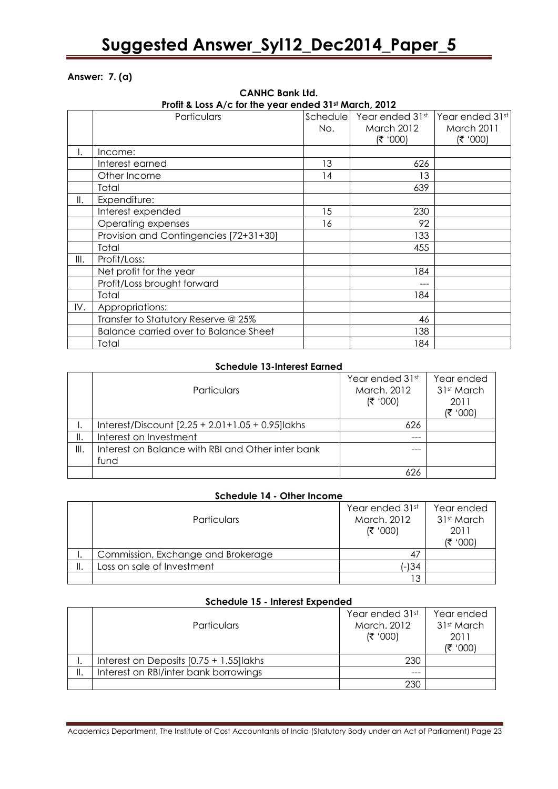### **Answer: 7. (a)**

|      | Profit & Loss A/c for the year ended 31st March, 2012 |     |                            |                 |  |
|------|-------------------------------------------------------|-----|----------------------------|-----------------|--|
|      | Particulars                                           |     | Schedule   Year ended 31st | Year ended 31st |  |
|      |                                                       | No. | <b>March 2012</b>          | March 2011      |  |
|      |                                                       |     | (₹ '000)                   | (700' ₹)        |  |
| ۱.   | Income:                                               |     |                            |                 |  |
|      | Interest earned                                       | 13  | 626                        |                 |  |
|      | Other Income                                          | 14  | 13                         |                 |  |
|      | Total                                                 |     | 639                        |                 |  |
| Ⅱ.   | Expenditure:                                          |     |                            |                 |  |
|      | Interest expended                                     | 15  | 230                        |                 |  |
|      | Operating expenses                                    | 16  | 92                         |                 |  |
|      | Provision and Contingencies [72+31+30]                |     | 133                        |                 |  |
|      | Total                                                 |     | 455                        |                 |  |
| III. | Profit/Loss:                                          |     |                            |                 |  |
|      | Net profit for the year                               |     | 184                        |                 |  |
|      | Profit/Loss brought forward                           |     | ---                        |                 |  |
|      | Total                                                 |     | 184                        |                 |  |
| IV.  | Appropriations:                                       |     |                            |                 |  |
|      | Transfer to Statutory Reserve @ 25%                   |     | 46                         |                 |  |
|      | <b>Balance carried over to Balance Sheet</b>          |     | 138                        |                 |  |
|      | Total                                                 |     | 184                        |                 |  |

# **CANHC Bank Ltd.**

### **Schedule 13-Interest Earned**

|    | <b>Particulars</b>                                    | Year ended 31st<br>March, 2012<br>(300) | Year ended<br>31st March<br>2011<br>(300) |
|----|-------------------------------------------------------|-----------------------------------------|-------------------------------------------|
|    | Interest/Discount $[2.25 + 2.01 + 1.05 + 0.95]$ lakhs | 626                                     |                                           |
| Ⅱ. | Interest on Investment                                | ---                                     |                                           |
| Ⅲ. | Interest on Balance with RBI and Other inter bank     |                                         |                                           |
|    | fund                                                  |                                         |                                           |
|    |                                                       | 626                                     |                                           |

### **Schedule 14 - Other Income**

| <b>Particulars</b>                 | Year ended 31st<br>March, 2012<br>(300) | Year ended<br>31st March<br>2011<br>(₹ '೦೦೦) |
|------------------------------------|-----------------------------------------|----------------------------------------------|
| Commission, Exchange and Brokerage | 47                                      |                                              |
| Loss on sale of Investment         | (-)34                                   |                                              |
|                                    | ר ו                                     |                                              |

### **Schedule 15 - Interest Expended**

| <b>Particulars</b>                         | Year ended 31st<br>March, 2012<br>(300) | Year ended<br>31st March<br>2011<br>'000 |
|--------------------------------------------|-----------------------------------------|------------------------------------------|
| Interest on Deposits $[0.75 + 1.55]$ lakhs | 230                                     |                                          |
| Interest on RBI/inter bank borrowings      | ---                                     |                                          |
|                                            | 230                                     |                                          |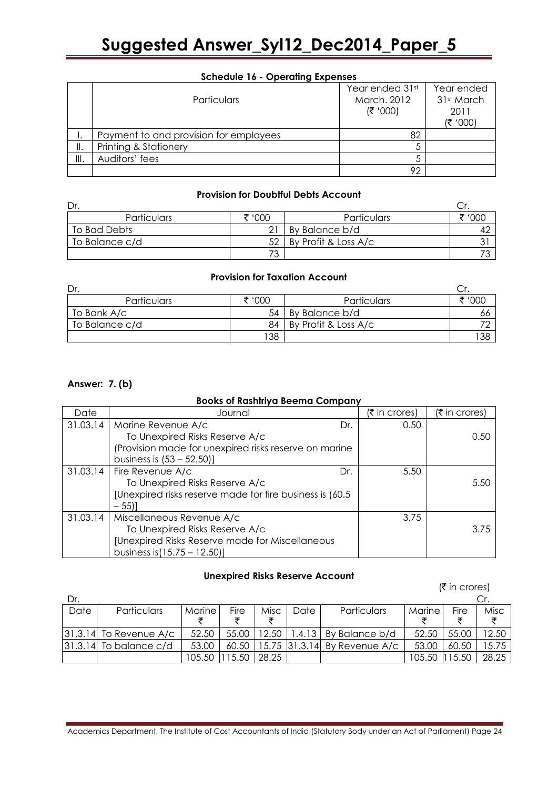|     | Particulars                            | Year ended 31st<br>March, 2012<br>(300) | Year ended<br>31st March<br>2011<br>(₹ '000) |
|-----|----------------------------------------|-----------------------------------------|----------------------------------------------|
|     | Payment to and provision for employees | 82                                      |                                              |
| II. | Printing & Stationery                  |                                         |                                              |
| Ⅲ.  | Auditors' fees                         |                                         |                                              |
|     |                                        | 92                                      |                                              |

### **Provision for Doubtful Debts Account**

| Dr.            |        |                      |        |
|----------------|--------|----------------------|--------|
| Particulars    | ₹ '000 | Particulars          | ₹ '000 |
| To Bad Debts   |        | By Balance b/d       |        |
| To Balance c/d | 52     | By Profit & Loss A/c |        |
|                | 73     |                      |        |

### **Provision for Taxation Account**

| Dr.            |        |                      |              |
|----------------|--------|----------------------|--------------|
| Particulars    | ₹ '000 | Particulars          | <b>'</b> 000 |
| To Bank A/c    | 54     | By Balance b/d       | 66           |
| To Balance c/d | 84     | By Profit & Loss A/c |              |
|                | 38     |                      | 138          |

### **Answer: 7. (b)**

### **Books of Rashtriya Beema Company**

| Date     | Journal                                                   | (₹ in crores) | $(5 \text{ in crores})$ |
|----------|-----------------------------------------------------------|---------------|-------------------------|
| 31.03.14 | Marine Revenue A/c<br>Dr.                                 | 0.50          |                         |
|          | To Unexpired Risks Reserve A/c                            |               | 0.50                    |
|          | (Provision made for unexpired risks reserve on marine     |               |                         |
|          | business is $(53 - 52.50)$ ]                              |               |                         |
| 31.03.14 | Fire Revenue A/c<br>Dr.                                   | 5.50          |                         |
|          | To Unexpired Risks Reserve A/c                            |               | 5.50                    |
|          | [Unexpired risks reserve made for fire business is (60.5) |               |                         |
|          | $-55$ ]                                                   |               |                         |
| 31.03.14 | Miscellaneous Revenue A/c                                 | 3.75          |                         |
|          | To Unexpired Risks Reserve A/c                            |               | 3.75                    |
|          | [Unexpired Risks Reserve made for Miscellaneous           |               |                         |
|          | business is $(15.75 - 12.50)$                             |               |                         |

### **Unexpired Risks Reserve Account**

|         |                            |        |       |       |               |                |        | $(\bar{\bar{\mathbf{z}}}$ in crores) |       |
|---------|----------------------------|--------|-------|-------|---------------|----------------|--------|--------------------------------------|-------|
| Dr.     |                            |        |       |       |               |                |        |                                      | Cr.   |
| Date    | Particulars                | Marine | Fire  | Misc  | Date          | Particulars    | Marine | Fire                                 | Misc  |
|         |                            |        |       |       |               |                |        |                                      |       |
|         | $ 31.3.14 $ To Revenue A/c | 52.50  | 55.00 | 12.50 | 1.4.13        | By Balance b/d | 52.50  | 55.00                                | 12.50 |
| 31.3.14 | To balance c/d             | 53.00  | 60.50 |       | 15.75 31.3.14 | By Revenue A/c | 53.00  | 60.50                                | 5.75  |
|         |                            | 105.50 | 5.50  | 28.25 |               |                | 105.50 | l 5.5C                               | 28.25 |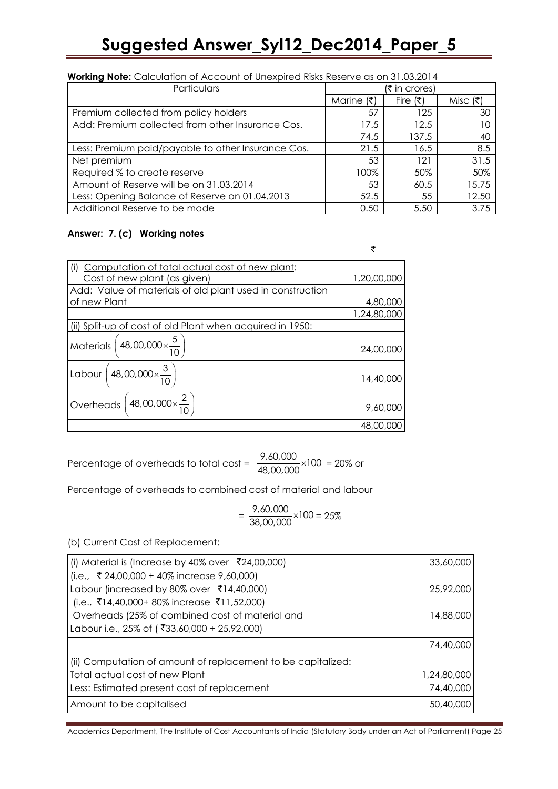| <b>Working Note:</b> Calculation of Account of Unexpired Risks Reserve as on 31.03.2014 |               |          |          |  |  |  |
|-----------------------------------------------------------------------------------------|---------------|----------|----------|--|--|--|
| Particulars                                                                             | (₹ in crores) |          |          |  |  |  |
|                                                                                         | Marine (₹)    | Fire (₹) | Misc (そ) |  |  |  |
| Premium collected from policy holders                                                   | 57            | 125      | 30       |  |  |  |
| Add: Premium collected from other Insurance Cos.                                        | 17.5          | 12.5     | 10       |  |  |  |
|                                                                                         | 74.5          | 137.5    | 40       |  |  |  |
| Less: Premium paid/payable to other Insurance Cos.                                      | 21.5          | 16.5     | 8.5      |  |  |  |
| Net premium                                                                             | 53            | 121      | 31.5     |  |  |  |
| Required % to create reserve                                                            | 100%          | 50%      | 50%      |  |  |  |
| Amount of Reserve will be on 31.03.2014                                                 | 53            | 60.5     | 15.75    |  |  |  |
| Less: Opening Balance of Reserve on 01.04.2013                                          | 52.5          | 55       | 12.50    |  |  |  |
| Additional Reserve to be made                                                           | 0.50          | 5.50     | 3.75     |  |  |  |

### **Answer: 7. (c) Working notes**

|                                                           | ₹           |
|-----------------------------------------------------------|-------------|
| Computation of total actual cost of new plant:<br>(i)     |             |
| Cost of new plant (as given)                              | 1,20,00,000 |
| Add: Value of materials of old plant used in construction |             |
| of new Plant                                              | 4,80,000    |
|                                                           | 1,24,80,000 |
| (ii) Split-up of cost of old Plant when acquired in 1950: |             |
| Materials $\left(48,00,000\times\frac{5}{10}\right)$      | 24,00,000   |
| Labour $\left(48,00,000 \times \frac{3}{10}\right)$       | 14,40,000   |
| Overheads $\left(48,00,000 \times \frac{2}{10}\right)$    | 9,60,000    |
|                                                           | 48,00,000   |

Percentage of overheads to total cost = 
$$
\frac{9,60,000}{48,00,000} \times 100 = 20\%
$$
 or

Percentage of overheads to combined cost of material and labour

$$
= \frac{9,60,000}{38,00,000} \times 100 = 25\%
$$

(b) Current Cost of Replacement:

| (i) Material is (Increase by 40% over ₹24,00,000)            | 33,60,000   |
|--------------------------------------------------------------|-------------|
| (i.e., ₹ 24,00,000 + 40% increase 9,60,000)                  |             |
| Labour (increased by 80% over ₹14,40,000)                    | 25,92,000   |
| (i.e., ₹14,40,000+80% increase ₹11,52,000)                   |             |
| Overheads (25% of combined cost of material and              | 14,88,000   |
| Labour i.e., 25% of (₹33,60,000 + 25,92,000)                 |             |
|                                                              | 74,40,000   |
| (ii) Computation of amount of replacement to be capitalized: |             |
| Total actual cost of new Plant                               | 1,24,80,000 |
| Less: Estimated present cost of replacement                  | 74,40,000   |
| Amount to be capitalised                                     | 50,40,000   |